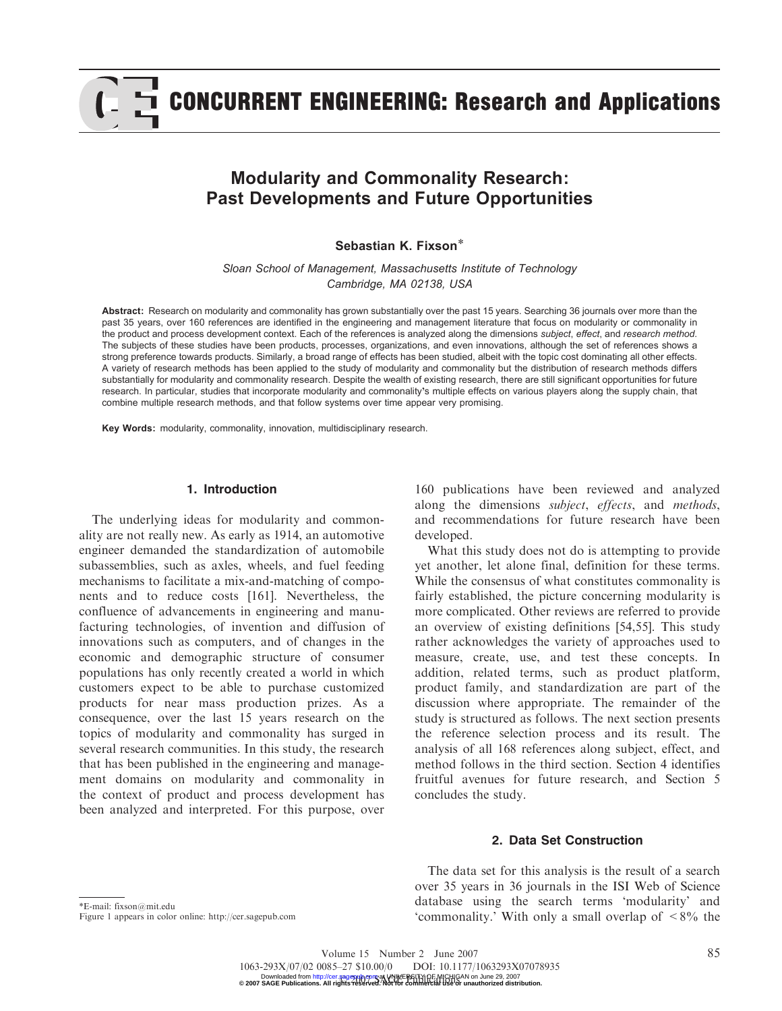**T** CONCURRENT ENGINEERING: Research and Applications

# Modularity and Commonality Research: Past Developments and Future Opportunities

Sebastian K. Fixson\*

Sloan School of Management, Massachusetts Institute of Technology Cambridge, MA 02138, USA

Abstract: Research on modularity and commonality has grown substantially over the past 15 years. Searching 36 journals over more than the past 35 years, over 160 references are identified in the engineering and management literature that focus on modularity or commonality in the product and process development context. Each of the references is analyzed along the dimensions subject, effect, and research method. The subjects of these studies have been products, processes, organizations, and even innovations, although the set of references shows a strong preference towards products. Similarly, a broad range of effects has been studied, albeit with the topic cost dominating all other effects. A variety of research methods has been applied to the study of modularity and commonality but the distribution of research methods differs substantially for modularity and commonality research. Despite the wealth of existing research, there are still significant opportunities for future research. In particular, studies that incorporate modularity and commonality's multiple effects on various players along the supply chain, that combine multiple research methods, and that follow systems over time appear very promising.

Key Words: modularity, commonality, innovation, multidisciplinary research.

#### 1. Introduction

The underlying ideas for modularity and commonality are not really new. As early as 1914, an automotive engineer demanded the standardization of automobile subassemblies, such as axles, wheels, and fuel feeding mechanisms to facilitate a mix-and-matching of components and to reduce costs [161]. Nevertheless, the confluence of advancements in engineering and manufacturing technologies, of invention and diffusion of innovations such as computers, and of changes in the economic and demographic structure of consumer populations has only recently created a world in which customers expect to be able to purchase customized products for near mass production prizes. As a consequence, over the last 15 years research on the topics of modularity and commonality has surged in several research communities. In this study, the research that has been published in the engineering and management domains on modularity and commonality in the context of product and process development has been analyzed and interpreted. For this purpose, over 160 publications have been reviewed and analyzed along the dimensions subject, effects, and methods, and recommendations for future research have been developed.

What this study does not do is attempting to provide yet another, let alone final, definition for these terms. While the consensus of what constitutes commonality is fairly established, the picture concerning modularity is more complicated. Other reviews are referred to provide an overview of existing definitions [54,55]. This study rather acknowledges the variety of approaches used to measure, create, use, and test these concepts. In addition, related terms, such as product platform, product family, and standardization are part of the discussion where appropriate. The remainder of the study is structured as follows. The next section presents the reference selection process and its result. The analysis of all 168 references along subject, effect, and method follows in the third section. Section 4 identifies fruitful avenues for future research, and Section 5 concludes the study.

#### 2. Data Set Construction

The data set for this analysis is the result of a search over 35 years in 36 journals in the ISI Web of Science database using the search terms 'modularity' and 'commonality.' With only a small overlap of <8% the

<sup>\*</sup>E-mail: fixson@mit.edu

Figure 1 appears in color online: http://cer.sagepub.com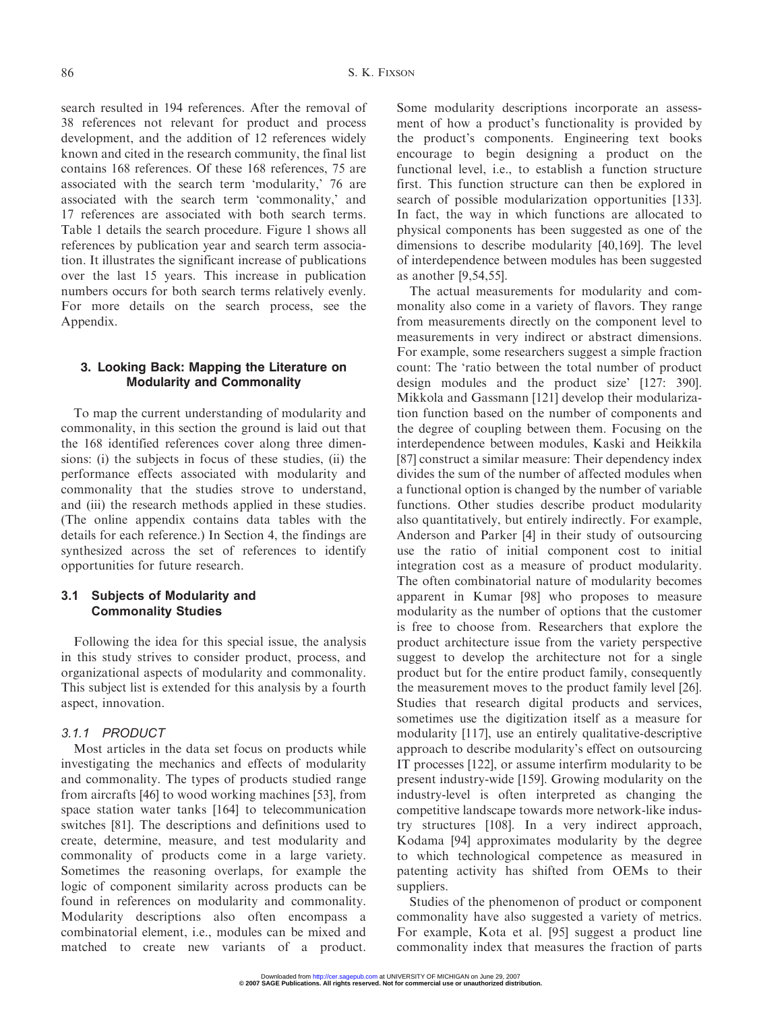search resulted in 194 references. After the removal of 38 references not relevant for product and process development, and the addition of 12 references widely known and cited in the research community, the final list contains 168 references. Of these 168 references, 75 are associated with the search term 'modularity,' 76 are associated with the search term 'commonality,' and 17 references are associated with both search terms. Table 1 details the search procedure. Figure 1 shows all references by publication year and search term association. It illustrates the significant increase of publications over the last 15 years. This increase in publication numbers occurs for both search terms relatively evenly. For more details on the search process, see the Appendix.

## 3. Looking Back: Mapping the Literature on Modularity and Commonality

To map the current understanding of modularity and commonality, in this section the ground is laid out that the 168 identified references cover along three dimensions: (i) the subjects in focus of these studies, (ii) the performance effects associated with modularity and commonality that the studies strove to understand, and (iii) the research methods applied in these studies. (The online appendix contains data tables with the details for each reference.) In Section 4, the findings are synthesized across the set of references to identify opportunities for future research.

## 3.1 Subjects of Modularity and Commonality Studies

Following the idea for this special issue, the analysis in this study strives to consider product, process, and organizational aspects of modularity and commonality. This subject list is extended for this analysis by a fourth aspect, innovation.

# 3.1.1 PRODUCT

Most articles in the data set focus on products while investigating the mechanics and effects of modularity and commonality. The types of products studied range from aircrafts [46] to wood working machines [53], from space station water tanks [164] to telecommunication switches [81]. The descriptions and definitions used to create, determine, measure, and test modularity and commonality of products come in a large variety. Sometimes the reasoning overlaps, for example the logic of component similarity across products can be found in references on modularity and commonality. Modularity descriptions also often encompass a combinatorial element, i.e., modules can be mixed and matched to create new variants of a product.

Some modularity descriptions incorporate an assessment of how a product's functionality is provided by the product's components. Engineering text books encourage to begin designing a product on the functional level, i.e., to establish a function structure first. This function structure can then be explored in search of possible modularization opportunities [133]. In fact, the way in which functions are allocated to physical components has been suggested as one of the dimensions to describe modularity [40,169]. The level of interdependence between modules has been suggested as another [9,54,55].

The actual measurements for modularity and commonality also come in a variety of flavors. They range from measurements directly on the component level to measurements in very indirect or abstract dimensions. For example, some researchers suggest a simple fraction count: The 'ratio between the total number of product design modules and the product size' [127: 390]. Mikkola and Gassmann [121] develop their modularization function based on the number of components and the degree of coupling between them. Focusing on the interdependence between modules, Kaski and Heikkila [87] construct a similar measure: Their dependency index divides the sum of the number of affected modules when a functional option is changed by the number of variable functions. Other studies describe product modularity also quantitatively, but entirely indirectly. For example, Anderson and Parker [4] in their study of outsourcing use the ratio of initial component cost to initial integration cost as a measure of product modularity. The often combinatorial nature of modularity becomes apparent in Kumar [98] who proposes to measure modularity as the number of options that the customer is free to choose from. Researchers that explore the product architecture issue from the variety perspective suggest to develop the architecture not for a single product but for the entire product family, consequently the measurement moves to the product family level [26]. Studies that research digital products and services, sometimes use the digitization itself as a measure for modularity [117], use an entirely qualitative-descriptive approach to describe modularity's effect on outsourcing IT processes [122], or assume interfirm modularity to be present industry-wide [159]. Growing modularity on the industry-level is often interpreted as changing the competitive landscape towards more network-like industry structures [108]. In a very indirect approach, Kodama [94] approximates modularity by the degree to which technological competence as measured in patenting activity has shifted from OEMs to their suppliers.

Studies of the phenomenon of product or component commonality have also suggested a variety of metrics. For example, Kota et al. [95] suggest a product line commonality index that measures the fraction of parts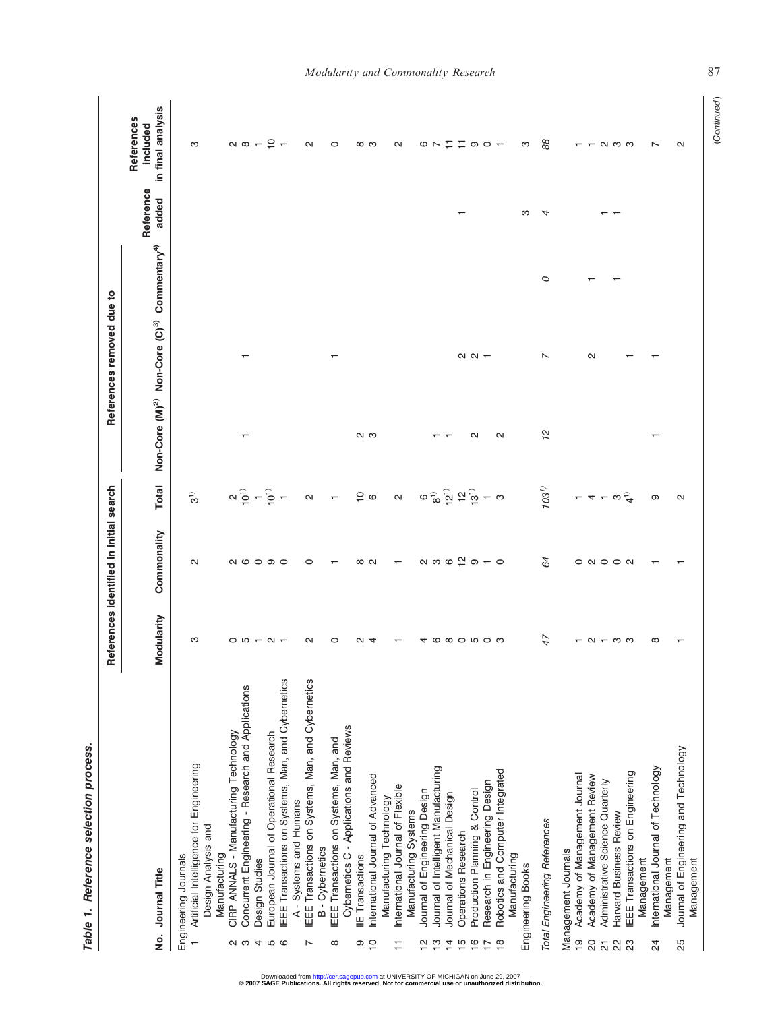Table 1. Reference selection process. Table 1. Reference selection process.

|                          |                                                                             |                                 | References identified in initial search           |                                                                                                                                                  |                   | References removed due to                             |                          |                    |                                                             |
|--------------------------|-----------------------------------------------------------------------------|---------------------------------|---------------------------------------------------|--------------------------------------------------------------------------------------------------------------------------------------------------|-------------------|-------------------------------------------------------|--------------------------|--------------------|-------------------------------------------------------------|
|                          | No. Journal Title                                                           | Modularity                      | Commonality                                       | Total                                                                                                                                            |                   | Non-Core (M) <sup>2)</sup> Non-Core (C) <sup>3)</sup> | Commentary <sup>4)</sup> | Reference<br>added | in final analysis<br>References<br>included                 |
|                          | Engineering Journals                                                        |                                 |                                                   |                                                                                                                                                  |                   |                                                       |                          |                    |                                                             |
|                          | Artificial Intelligence for Engineering                                     | က                               | $\mathbf{\Omega}$                                 | $\widehat{5}$                                                                                                                                    |                   |                                                       |                          |                    | S                                                           |
|                          | Design Analysis and<br>Manufacturing                                        |                                 |                                                   |                                                                                                                                                  |                   |                                                       |                          |                    |                                                             |
|                          | CIRP ANNALS - Manufacturing Technology                                      |                                 |                                                   |                                                                                                                                                  |                   |                                                       |                          |                    |                                                             |
| <i>a</i> ω 4 ω ω         | Concurrent Engineering - Research and Applications                          | $\circ$ $\circ$ $\circ$ $\circ$ |                                                   | $\alpha \stackrel{\frown}{\mathcal{Q}} - \stackrel{\frown}{\mathcal{Q}} -$                                                                       |                   | $\overline{\phantom{0}}$                              |                          |                    | $\alpha \in \mathfrak{S}$ + $\alpha$                        |
|                          | Design Studies                                                              |                                 |                                                   |                                                                                                                                                  |                   |                                                       |                          |                    |                                                             |
|                          | European Journal of Operational Research                                    |                                 |                                                   |                                                                                                                                                  |                   |                                                       |                          |                    |                                                             |
|                          | IEEE Transactions on Systems, Man, and Cybernetics                          |                                 |                                                   |                                                                                                                                                  |                   |                                                       |                          |                    |                                                             |
|                          | EEE Transactions on Systems, Man, and Cybernetics<br>A - Systems and Humans | $\mathbf{\Omega}$               | $\circ$                                           | $\sim$                                                                                                                                           |                   |                                                       |                          |                    | $\sim$                                                      |
|                          | <b>B</b> - Cybernetics                                                      |                                 |                                                   |                                                                                                                                                  |                   |                                                       |                          |                    |                                                             |
| $^{\circ}$               | IEEE Transactions on Systems, Man, and                                      | $\circ$                         | $\overline{\phantom{0}}$                          | $\overline{a}$                                                                                                                                   |                   | $\overline{\phantom{0}}$                              |                          |                    | $\circ$                                                     |
|                          | Cybernetics C - Applications and Reviews                                    |                                 |                                                   |                                                                                                                                                  |                   |                                                       |                          |                    |                                                             |
| თ                        | <b>IIE</b> Transactions                                                     |                                 |                                                   |                                                                                                                                                  |                   |                                                       |                          |                    |                                                             |
| $\subseteq$              | International Journal of Advanced                                           | $\alpha$ 4                      | $\infty$ $\sim$                                   | $\frac{1}{2}$ $\circ$                                                                                                                            | လ က               |                                                       |                          |                    | ထ က                                                         |
|                          | Manufacturing Technology                                                    |                                 |                                                   |                                                                                                                                                  |                   |                                                       |                          |                    |                                                             |
|                          | International Journal of Flexible                                           | $\mathbf{r}$                    | $ \sim$ $\sim$ $\sim$ $\sim$ $\sim$ $\sim$ $\sim$ | $\alpha$ $\omega$ $\widehat{a}$ $\widehat{b}$ $\frac{\widehat{c}}{2}$ $\frac{\widehat{c}}{2}$ $\widehat{c}$ $\widehat{p}$ $\rightarrow$ $\varpi$ |                   |                                                       |                          |                    | $\sim$                                                      |
|                          | Manufacturing Systems                                                       |                                 |                                                   |                                                                                                                                                  |                   |                                                       |                          |                    |                                                             |
| $\overline{\mathsf{c}}$  | Journal of Engineering Design                                               | 4 6 8 0 10 0 10                 |                                                   |                                                                                                                                                  |                   |                                                       |                          |                    | $\circ \circ \vdash \vdash \vdash \circ \circ \circ \vdash$ |
| 62406                    | Journal of Intelligent Manufacturing                                        |                                 |                                                   |                                                                                                                                                  |                   |                                                       |                          |                    |                                                             |
|                          | Journal of Mechanical Design                                                |                                 |                                                   |                                                                                                                                                  |                   |                                                       |                          |                    |                                                             |
|                          | Operations Research                                                         |                                 |                                                   |                                                                                                                                                  |                   |                                                       |                          |                    |                                                             |
|                          | Production Planning & Control                                               |                                 |                                                   |                                                                                                                                                  | $\mathbf{\Omega}$ | $\sim$ $\sim$ $-$                                     |                          |                    |                                                             |
| $\overline{\phantom{0}}$ | Research in Engineering Design                                              |                                 |                                                   |                                                                                                                                                  |                   |                                                       |                          |                    |                                                             |
| $\infty$                 | Robotics and Computer Integrated                                            |                                 |                                                   |                                                                                                                                                  | $\sim$            |                                                       |                          |                    |                                                             |
|                          | Manufacturing<br>Engineering Books                                          |                                 |                                                   |                                                                                                                                                  |                   |                                                       |                          | ო                  | <b>්</b>                                                    |
|                          | Total Engineering References                                                | 47                              | 64                                                | $103^{\textit{1)}\prime}$                                                                                                                        | 72                | $\overline{\phantom{0}}$                              | O                        | 4                  | 88                                                          |
|                          | Management Journals                                                         |                                 |                                                   |                                                                                                                                                  |                   |                                                       |                          |                    |                                                             |
| $\overline{9}$           | Academy of Management Journal                                               |                                 |                                                   |                                                                                                                                                  |                   |                                                       |                          |                    |                                                             |
| 8                        | Academy of Management Review                                                | $ \alpha$ $ \alpha$ $\alpha$    | $O$ $N$ $O$ $O$ $N$                               | $-4 - w_0^4$                                                                                                                                     |                   | $\mathbf{\alpha}$                                     |                          |                    | $  \alpha$ $\varnothing$ $\varnothing$                      |
|                          | Administrative Science Quarterly                                            |                                 |                                                   |                                                                                                                                                  |                   |                                                       |                          |                    |                                                             |
|                          | Harvard Business Review                                                     |                                 |                                                   |                                                                                                                                                  |                   |                                                       |                          |                    |                                                             |
| ೧                        | <b>IEEE</b> Transactions on Engineering                                     |                                 |                                                   |                                                                                                                                                  |                   |                                                       |                          |                    |                                                             |
|                          | Management                                                                  |                                 |                                                   |                                                                                                                                                  |                   |                                                       |                          |                    |                                                             |
| 24                       | International Journal of Technology                                         | $\infty$                        |                                                   | ၜ                                                                                                                                                |                   |                                                       |                          |                    | $\overline{ }$                                              |
|                          | Management                                                                  |                                 |                                                   |                                                                                                                                                  |                   |                                                       |                          |                    |                                                             |
| 25                       | Journal of Engineering and Technology<br>Management                         |                                 |                                                   | $\mathbf{\Omega}$                                                                                                                                |                   |                                                       |                          |                    | $\mathbf{\Omega}$                                           |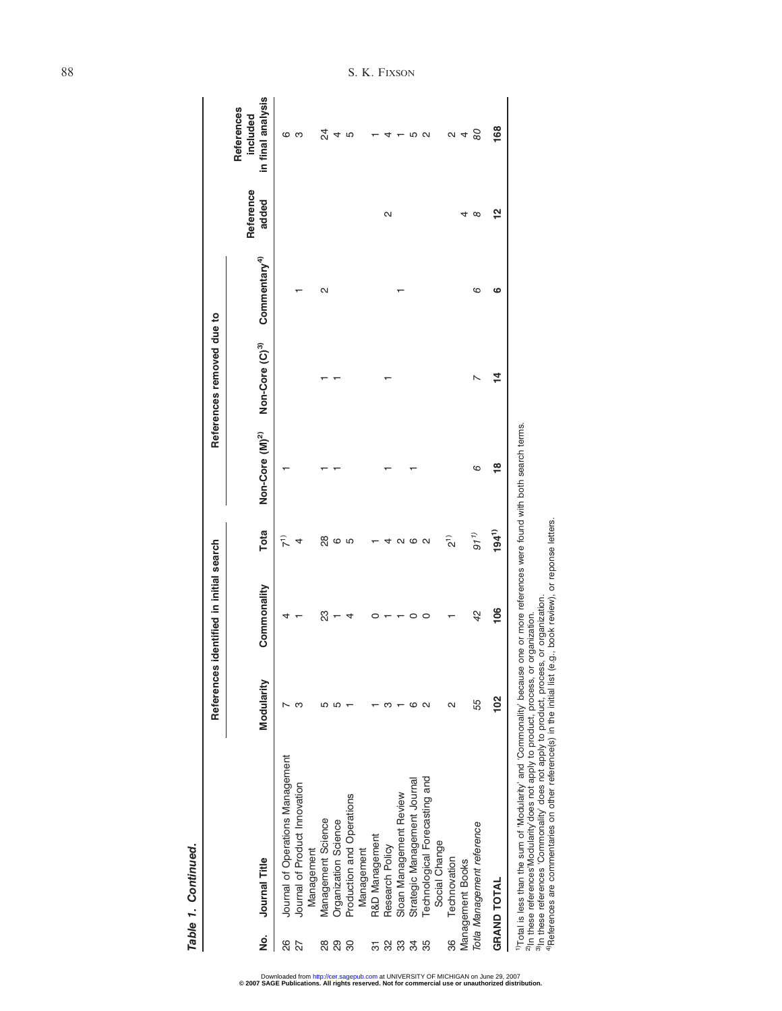|         |                                                                     |            | References identified in initial search                  |                   |                            | References removed due to  |                          |               |                               |
|---------|---------------------------------------------------------------------|------------|----------------------------------------------------------|-------------------|----------------------------|----------------------------|--------------------------|---------------|-------------------------------|
|         |                                                                     |            |                                                          |                   |                            |                            |                          | Reference     | <b>References</b><br>included |
| ġ       | Journal Title                                                       | Modularity | Commonality                                              | Tota              | Non-Core (M) <sup>2)</sup> | Non-Core (C) <sup>3)</sup> | Commentary <sup>4)</sup> | added         | in final analysis             |
|         | Journal of Operations Management                                    |            |                                                          | $\widehat{\tau}$  |                            |                            |                          |               | ဖ                             |
| 8<br>27 | Journal of Product Innovation                                       |            |                                                          |                   |                            |                            |                          |               | S                             |
|         | Management                                                          |            |                                                          |                   |                            |                            |                          |               |                               |
| 28      | Management Science                                                  |            | 23                                                       | 28                |                            |                            | N                        |               | 24                            |
| 29      | Organization Science                                                |            |                                                          | $\circ$           |                            |                            |                          |               | 4                             |
| 30      | Production and Operations                                           |            |                                                          | 5                 |                            |                            |                          |               | 5                             |
|         | Management                                                          |            |                                                          |                   |                            |                            |                          |               |                               |
| 5       | R&D Management                                                      |            |                                                          |                   |                            |                            |                          |               |                               |
|         | Research Policy                                                     |            |                                                          |                   |                            |                            |                          | N             |                               |
| 23.37   | Sloan Management Review                                             |            |                                                          | Ν                 |                            |                            |                          |               |                               |
|         | Strategic Management Journal                                        |            |                                                          | ဖ                 |                            |                            |                          |               | ю                             |
| 35      | Technological Forecasting and                                       | N          |                                                          | $\mathbf{\Omega}$ |                            |                            |                          |               | $\mathbf{\Omega}$             |
|         | Social Change                                                       |            |                                                          |                   |                            |                            |                          |               |                               |
| 36      | Technovation                                                        | N          |                                                          | $\widehat{c}$     |                            |                            |                          |               | Ν                             |
|         | Management Books                                                    |            |                                                          |                   |                            |                            |                          |               | 4                             |
|         | Totla Management reference                                          | 55         | 42                                                       | $91^{1}$          | 6                          |                            | ဖ                        | 8             | $80\,$                        |
|         | <b>GRAND TOTAL</b>                                                  | 102        | $\frac{8}{100}$                                          | $(194^{1})$       | ∞                          | $\frac{4}{1}$              | ဖ                        | $\frac{2}{1}$ | 168                           |
|         | htai is last than the sum of "Mahlelening" and "Commonality" haousa |            | and or more references were found with both search terms |                   |                            |                            |                          |               |                               |

tound with both search terms. <sup>17</sup>Total is less than the sum of 'Modularity' and 'Commonality' because one or more references were found with both search terms.<br><sup>21</sup>In these references'Modularity'does not apply to product, process, or organization.<br><sup>31</sup>

<sup>1)</sup>Total is less than the sum of 'Modularity' and 'Commonality' because one or more references were found v<br><sup>2)</sup>In these references'Modularity'does not apply to product, process, or organization.<br><sup>3)</sup>In these references '

Table 1. Continued.

Table 1. Continued.

88 S. K. FIXSON

**© 2007 SAGE Publications. All rights reserved. Not for commercial use or unauthorized distribution.** Downloaded from<http://cer.sagepub.com>at UNIVERSITY OF MICHIGAN on June 29, 2007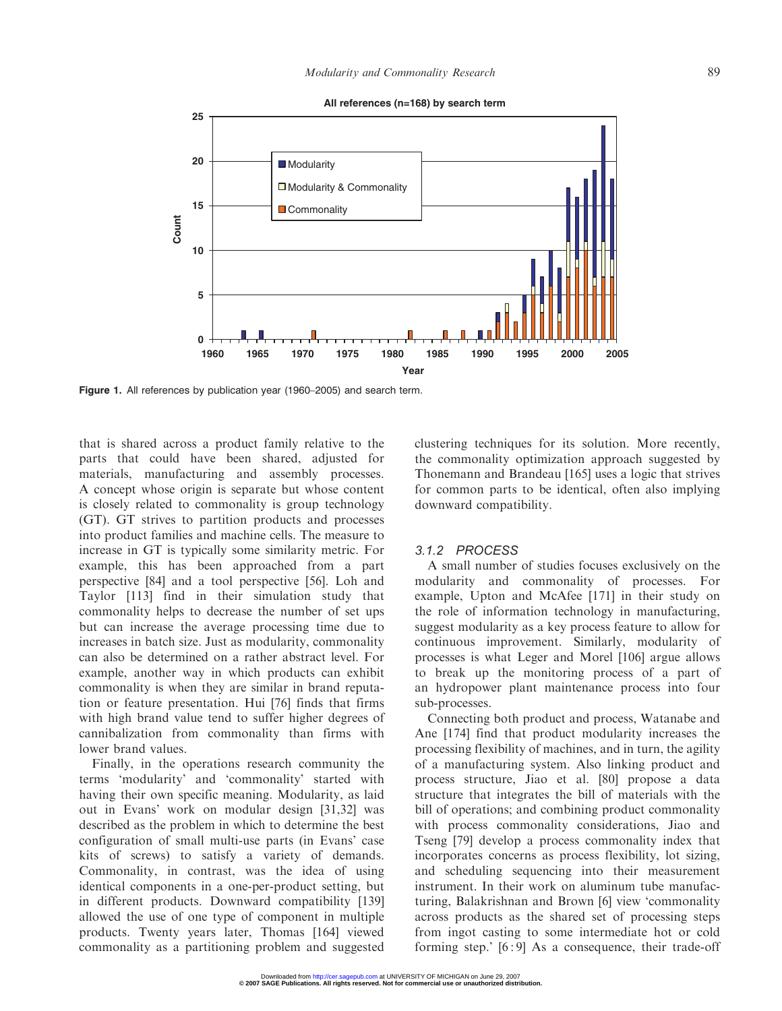**All references (n=168) by search term**



Figure 1. All references by publication year (1960–2005) and search term.

that is shared across a product family relative to the parts that could have been shared, adjusted for materials, manufacturing and assembly processes. A concept whose origin is separate but whose content is closely related to commonality is group technology (GT). GT strives to partition products and processes into product families and machine cells. The measure to increase in GT is typically some similarity metric. For example, this has been approached from a part perspective [84] and a tool perspective [56]. Loh and Taylor [113] find in their simulation study that commonality helps to decrease the number of set ups but can increase the average processing time due to increases in batch size. Just as modularity, commonality can also be determined on a rather abstract level. For example, another way in which products can exhibit commonality is when they are similar in brand reputation or feature presentation. Hui [76] finds that firms with high brand value tend to suffer higher degrees of cannibalization from commonality than firms with lower brand values.

Finally, in the operations research community the terms 'modularity' and 'commonality' started with having their own specific meaning. Modularity, as laid out in Evans' work on modular design [31,32] was described as the problem in which to determine the best configuration of small multi-use parts (in Evans' case kits of screws) to satisfy a variety of demands. Commonality, in contrast, was the idea of using identical components in a one-per-product setting, but in different products. Downward compatibility [139] allowed the use of one type of component in multiple products. Twenty years later, Thomas [164] viewed commonality as a partitioning problem and suggested

clustering techniques for its solution. More recently, the commonality optimization approach suggested by Thonemann and Brandeau [165] uses a logic that strives for common parts to be identical, often also implying downward compatibility.

#### 3.1.2 PROCESS

A small number of studies focuses exclusively on the modularity and commonality of processes. For example, Upton and McAfee [171] in their study on the role of information technology in manufacturing, suggest modularity as a key process feature to allow for continuous improvement. Similarly, modularity of processes is what Leger and Morel [106] argue allows to break up the monitoring process of a part of an hydropower plant maintenance process into four sub-processes.

Connecting both product and process, Watanabe and Ane [174] find that product modularity increases the processing flexibility of machines, and in turn, the agility of a manufacturing system. Also linking product and process structure, Jiao et al. [80] propose a data structure that integrates the bill of materials with the bill of operations; and combining product commonality with process commonality considerations, Jiao and Tseng [79] develop a process commonality index that incorporates concerns as process flexibility, lot sizing, and scheduling sequencing into their measurement instrument. In their work on aluminum tube manufacturing, Balakrishnan and Brown [6] view 'commonality across products as the shared set of processing steps from ingot casting to some intermediate hot or cold forming step.' [6 : 9] As a consequence, their trade-off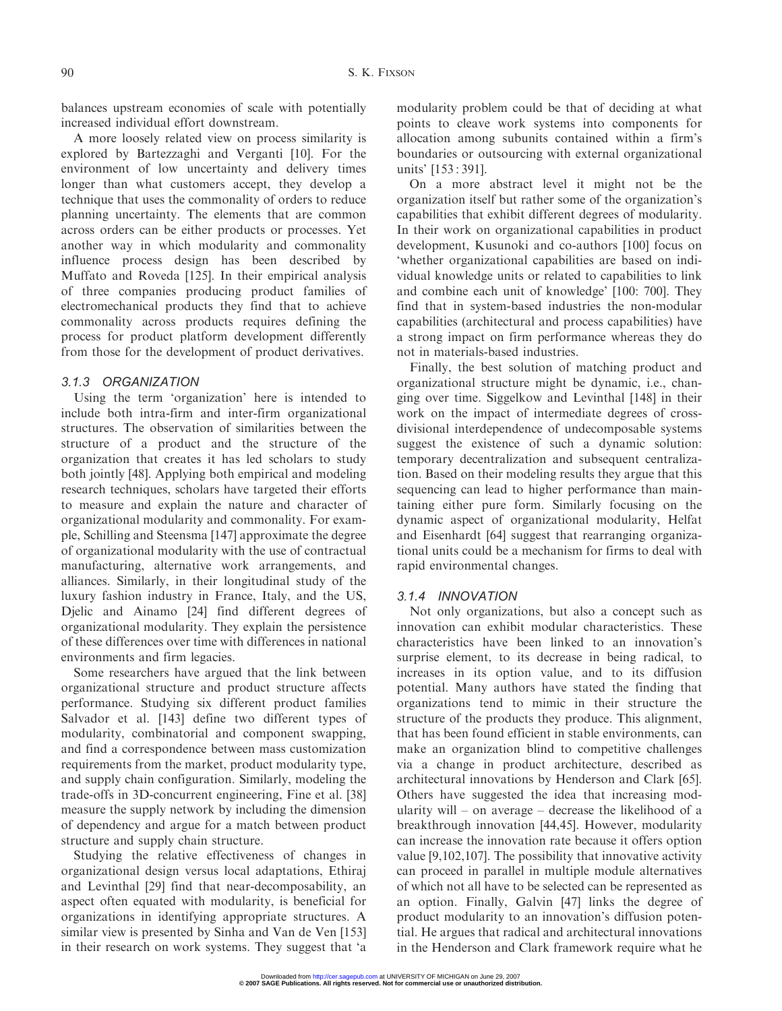balances upstream economies of scale with potentially increased individual effort downstream.

A more loosely related view on process similarity is explored by Bartezzaghi and Verganti [10]. For the environment of low uncertainty and delivery times longer than what customers accept, they develop a technique that uses the commonality of orders to reduce planning uncertainty. The elements that are common across orders can be either products or processes. Yet another way in which modularity and commonality influence process design has been described by Muffato and Roveda [125]. In their empirical analysis of three companies producing product families of electromechanical products they find that to achieve commonality across products requires defining the process for product platform development differently from those for the development of product derivatives.

# 3.1.3 ORGANIZATION

Using the term 'organization' here is intended to include both intra-firm and inter-firm organizational structures. The observation of similarities between the structure of a product and the structure of the organization that creates it has led scholars to study both jointly [48]. Applying both empirical and modeling research techniques, scholars have targeted their efforts to measure and explain the nature and character of organizational modularity and commonality. For example, Schilling and Steensma [147] approximate the degree of organizational modularity with the use of contractual manufacturing, alternative work arrangements, and alliances. Similarly, in their longitudinal study of the luxury fashion industry in France, Italy, and the US, Djelic and Ainamo [24] find different degrees of organizational modularity. They explain the persistence of these differences over time with differences in national environments and firm legacies.

Some researchers have argued that the link between organizational structure and product structure affects performance. Studying six different product families Salvador et al. [143] define two different types of modularity, combinatorial and component swapping, and find a correspondence between mass customization requirements from the market, product modularity type, and supply chain configuration. Similarly, modeling the trade-offs in 3D-concurrent engineering, Fine et al. [38] measure the supply network by including the dimension of dependency and argue for a match between product structure and supply chain structure.

Studying the relative effectiveness of changes in organizational design versus local adaptations, Ethiraj and Levinthal [29] find that near-decomposability, an aspect often equated with modularity, is beneficial for organizations in identifying appropriate structures. A similar view is presented by Sinha and Van de Ven [153] in their research on work systems. They suggest that 'a

modularity problem could be that of deciding at what points to cleave work systems into components for allocation among subunits contained within a firm's boundaries or outsourcing with external organizational units' [153 : 391].

On a more abstract level it might not be the organization itself but rather some of the organization's capabilities that exhibit different degrees of modularity. In their work on organizational capabilities in product development, Kusunoki and co-authors [100] focus on 'whether organizational capabilities are based on individual knowledge units or related to capabilities to link and combine each unit of knowledge' [100: 700]. They find that in system-based industries the non-modular capabilities (architectural and process capabilities) have a strong impact on firm performance whereas they do not in materials-based industries.

Finally, the best solution of matching product and organizational structure might be dynamic, i.e., changing over time. Siggelkow and Levinthal [148] in their work on the impact of intermediate degrees of crossdivisional interdependence of undecomposable systems suggest the existence of such a dynamic solution: temporary decentralization and subsequent centralization. Based on their modeling results they argue that this sequencing can lead to higher performance than maintaining either pure form. Similarly focusing on the dynamic aspect of organizational modularity, Helfat and Eisenhardt [64] suggest that rearranging organizational units could be a mechanism for firms to deal with rapid environmental changes.

#### 3.1.4 INNOVATION

Not only organizations, but also a concept such as innovation can exhibit modular characteristics. These characteristics have been linked to an innovation's surprise element, to its decrease in being radical, to increases in its option value, and to its diffusion potential. Many authors have stated the finding that organizations tend to mimic in their structure the structure of the products they produce. This alignment, that has been found efficient in stable environments, can make an organization blind to competitive challenges via a change in product architecture, described as architectural innovations by Henderson and Clark [65]. Others have suggested the idea that increasing modularity will – on average – decrease the likelihood of a breakthrough innovation [44,45]. However, modularity can increase the innovation rate because it offers option value [9,102,107]. The possibility that innovative activity can proceed in parallel in multiple module alternatives of which not all have to be selected can be represented as an option. Finally, Galvin [47] links the degree of product modularity to an innovation's diffusion potential. He argues that radical and architectural innovations in the Henderson and Clark framework require what he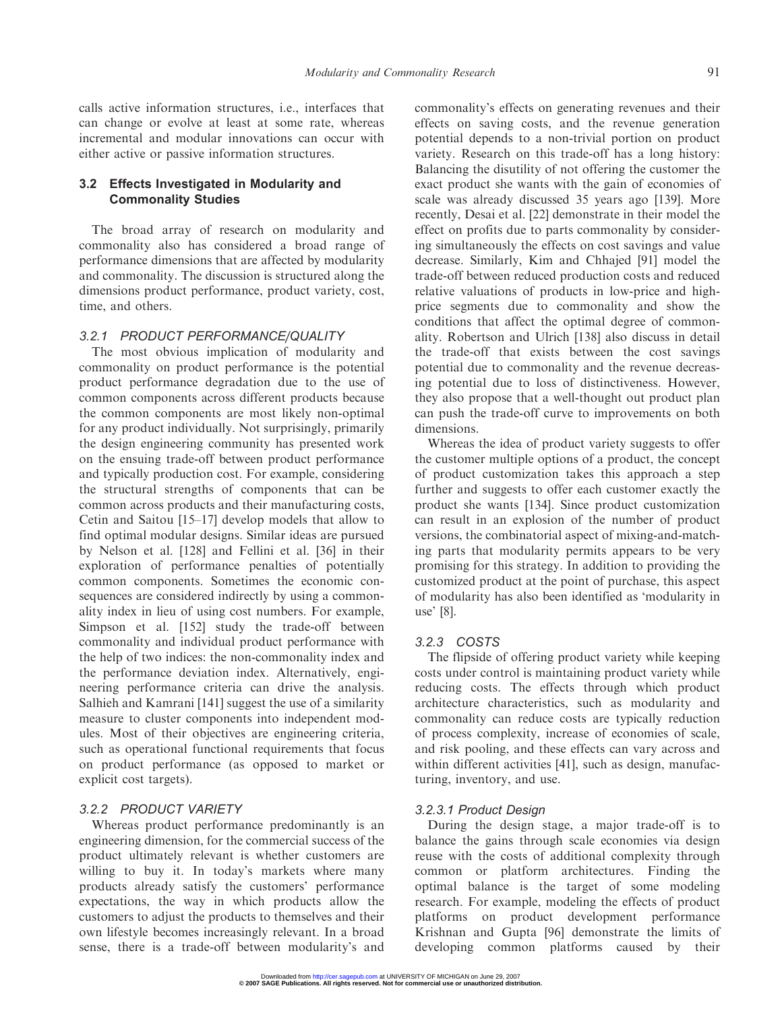calls active information structures, i.e., interfaces that can change or evolve at least at some rate, whereas incremental and modular innovations can occur with either active or passive information structures.

## 3.2 Effects Investigated in Modularity and Commonality Studies

The broad array of research on modularity and commonality also has considered a broad range of performance dimensions that are affected by modularity and commonality. The discussion is structured along the dimensions product performance, product variety, cost, time, and others.

#### 3.2.1 PRODUCT PERFORMANCE/QUALITY

The most obvious implication of modularity and commonality on product performance is the potential product performance degradation due to the use of common components across different products because the common components are most likely non-optimal for any product individually. Not surprisingly, primarily the design engineering community has presented work on the ensuing trade-off between product performance and typically production cost. For example, considering the structural strengths of components that can be common across products and their manufacturing costs, Cetin and Saitou [15–17] develop models that allow to find optimal modular designs. Similar ideas are pursued by Nelson et al. [128] and Fellini et al. [36] in their exploration of performance penalties of potentially common components. Sometimes the economic consequences are considered indirectly by using a commonality index in lieu of using cost numbers. For example, Simpson et al. [152] study the trade-off between commonality and individual product performance with the help of two indices: the non-commonality index and the performance deviation index. Alternatively, engineering performance criteria can drive the analysis. Salhieh and Kamrani [141] suggest the use of a similarity measure to cluster components into independent modules. Most of their objectives are engineering criteria, such as operational functional requirements that focus on product performance (as opposed to market or explicit cost targets).

#### 3.2.2 PRODUCT VARIETY

Whereas product performance predominantly is an engineering dimension, for the commercial success of the product ultimately relevant is whether customers are willing to buy it. In today's markets where many products already satisfy the customers' performance expectations, the way in which products allow the customers to adjust the products to themselves and their own lifestyle becomes increasingly relevant. In a broad sense, there is a trade-off between modularity's and

commonality's effects on generating revenues and their effects on saving costs, and the revenue generation potential depends to a non-trivial portion on product variety. Research on this trade-off has a long history: Balancing the disutility of not offering the customer the exact product she wants with the gain of economies of scale was already discussed 35 years ago [139]. More recently, Desai et al. [22] demonstrate in their model the effect on profits due to parts commonality by considering simultaneously the effects on cost savings and value decrease. Similarly, Kim and Chhajed [91] model the trade-off between reduced production costs and reduced relative valuations of products in low-price and highprice segments due to commonality and show the conditions that affect the optimal degree of commonality. Robertson and Ulrich [138] also discuss in detail the trade-off that exists between the cost savings potential due to commonality and the revenue decreasing potential due to loss of distinctiveness. However, they also propose that a well-thought out product plan can push the trade-off curve to improvements on both dimensions.

Whereas the idea of product variety suggests to offer the customer multiple options of a product, the concept of product customization takes this approach a step further and suggests to offer each customer exactly the product she wants [134]. Since product customization can result in an explosion of the number of product versions, the combinatorial aspect of mixing-and-matching parts that modularity permits appears to be very promising for this strategy. In addition to providing the customized product at the point of purchase, this aspect of modularity has also been identified as 'modularity in use' [8].

### 3.2.3 COSTS

The flipside of offering product variety while keeping costs under control is maintaining product variety while reducing costs. The effects through which product architecture characteristics, such as modularity and commonality can reduce costs are typically reduction of process complexity, increase of economies of scale, and risk pooling, and these effects can vary across and within different activities [41], such as design, manufacturing, inventory, and use.

#### 3.2.3.1 Product Design

During the design stage, a major trade-off is to balance the gains through scale economies via design reuse with the costs of additional complexity through common or platform architectures. Finding the optimal balance is the target of some modeling research. For example, modeling the effects of product platforms on product development performance Krishnan and Gupta [96] demonstrate the limits of developing common platforms caused by their

**<sup>© 2007</sup> SAGE Publications. All rights reserved. Not for commercial use or unauthorized distribution.** Downloaded from<http://cer.sagepub.com>at UNIVERSITY OF MICHIGAN on June 29, 2007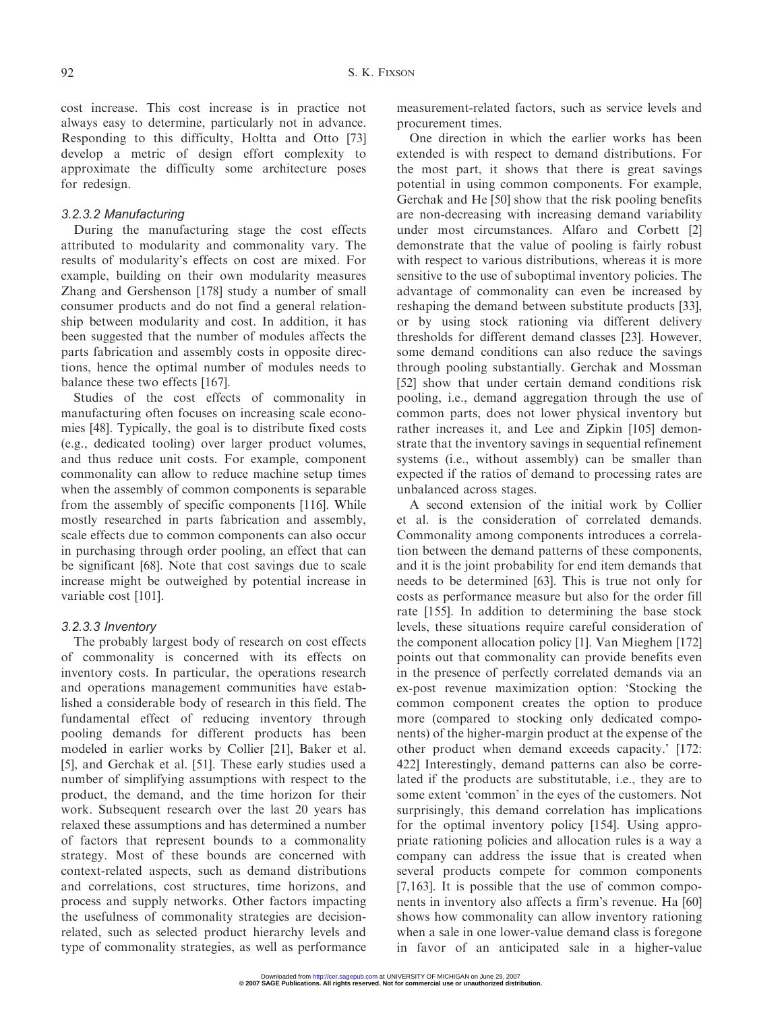cost increase. This cost increase is in practice not always easy to determine, particularly not in advance. Responding to this difficulty, Holtta and Otto [73] develop a metric of design effort complexity to approximate the difficulty some architecture poses for redesign.

## 3.2.3.2 Manufacturing

During the manufacturing stage the cost effects attributed to modularity and commonality vary. The results of modularity's effects on cost are mixed. For example, building on their own modularity measures Zhang and Gershenson [178] study a number of small consumer products and do not find a general relationship between modularity and cost. In addition, it has been suggested that the number of modules affects the parts fabrication and assembly costs in opposite directions, hence the optimal number of modules needs to balance these two effects [167].

Studies of the cost effects of commonality in manufacturing often focuses on increasing scale economies [48]. Typically, the goal is to distribute fixed costs (e.g., dedicated tooling) over larger product volumes, and thus reduce unit costs. For example, component commonality can allow to reduce machine setup times when the assembly of common components is separable from the assembly of specific components [116]. While mostly researched in parts fabrication and assembly, scale effects due to common components can also occur in purchasing through order pooling, an effect that can be significant [68]. Note that cost savings due to scale increase might be outweighed by potential increase in variable cost [101].

#### 3.2.3.3 Inventory

The probably largest body of research on cost effects of commonality is concerned with its effects on inventory costs. In particular, the operations research and operations management communities have established a considerable body of research in this field. The fundamental effect of reducing inventory through pooling demands for different products has been modeled in earlier works by Collier [21], Baker et al. [5], and Gerchak et al. [51]. These early studies used a number of simplifying assumptions with respect to the product, the demand, and the time horizon for their work. Subsequent research over the last 20 years has relaxed these assumptions and has determined a number of factors that represent bounds to a commonality strategy. Most of these bounds are concerned with context-related aspects, such as demand distributions and correlations, cost structures, time horizons, and process and supply networks. Other factors impacting the usefulness of commonality strategies are decisionrelated, such as selected product hierarchy levels and type of commonality strategies, as well as performance

measurement-related factors, such as service levels and procurement times.

One direction in which the earlier works has been extended is with respect to demand distributions. For the most part, it shows that there is great savings potential in using common components. For example, Gerchak and He [50] show that the risk pooling benefits are non-decreasing with increasing demand variability under most circumstances. Alfaro and Corbett [2] demonstrate that the value of pooling is fairly robust with respect to various distributions, whereas it is more sensitive to the use of suboptimal inventory policies. The advantage of commonality can even be increased by reshaping the demand between substitute products [33], or by using stock rationing via different delivery thresholds for different demand classes [23]. However, some demand conditions can also reduce the savings through pooling substantially. Gerchak and Mossman [52] show that under certain demand conditions risk pooling, i.e., demand aggregation through the use of common parts, does not lower physical inventory but rather increases it, and Lee and Zipkin [105] demonstrate that the inventory savings in sequential refinement systems (i.e., without assembly) can be smaller than expected if the ratios of demand to processing rates are unbalanced across stages.

A second extension of the initial work by Collier et al. is the consideration of correlated demands. Commonality among components introduces a correlation between the demand patterns of these components, and it is the joint probability for end item demands that needs to be determined [63]. This is true not only for costs as performance measure but also for the order fill rate [155]. In addition to determining the base stock levels, these situations require careful consideration of the component allocation policy [1]. Van Mieghem [172] points out that commonality can provide benefits even in the presence of perfectly correlated demands via an ex-post revenue maximization option: 'Stocking the common component creates the option to produce more (compared to stocking only dedicated components) of the higher-margin product at the expense of the other product when demand exceeds capacity.' [172: 422] Interestingly, demand patterns can also be correlated if the products are substitutable, i.e., they are to some extent 'common' in the eyes of the customers. Not surprisingly, this demand correlation has implications for the optimal inventory policy [154]. Using appropriate rationing policies and allocation rules is a way a company can address the issue that is created when several products compete for common components [7,163]. It is possible that the use of common components in inventory also affects a firm's revenue. Ha [60] shows how commonality can allow inventory rationing when a sale in one lower-value demand class is foregone in favor of an anticipated sale in a higher-value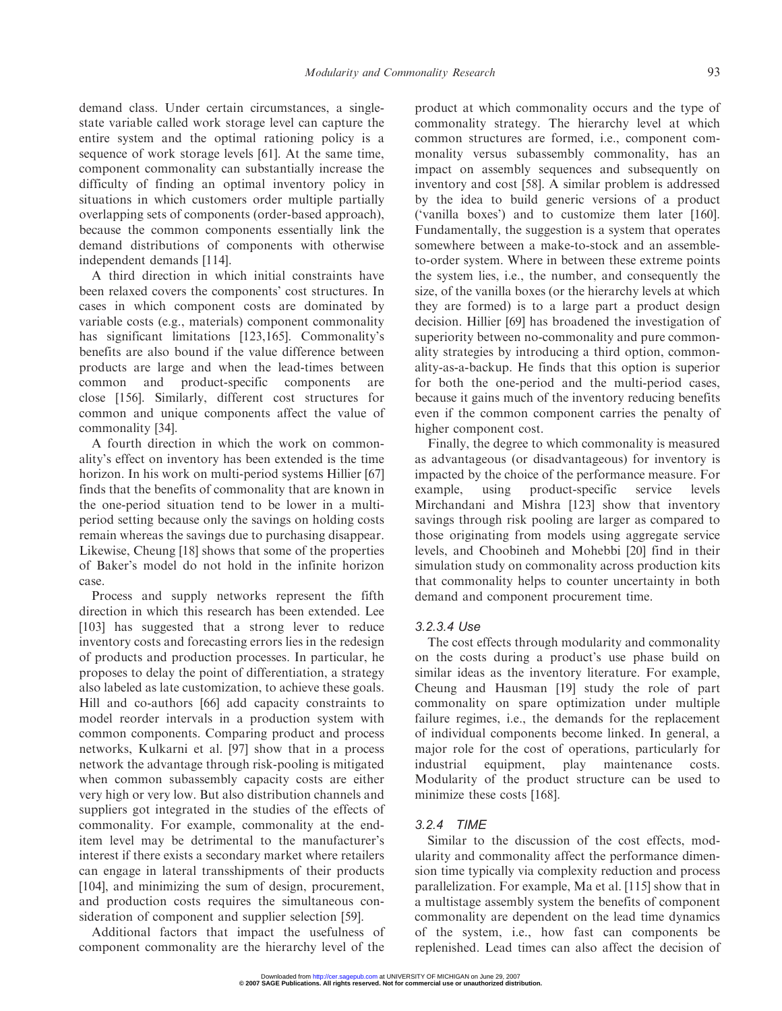demand class. Under certain circumstances, a singlestate variable called work storage level can capture the entire system and the optimal rationing policy is a sequence of work storage levels [61]. At the same time, component commonality can substantially increase the difficulty of finding an optimal inventory policy in situations in which customers order multiple partially overlapping sets of components (order-based approach), because the common components essentially link the demand distributions of components with otherwise independent demands [114].

A third direction in which initial constraints have been relaxed covers the components' cost structures. In cases in which component costs are dominated by variable costs (e.g., materials) component commonality has significant limitations [123,165]. Commonality's benefits are also bound if the value difference between products are large and when the lead-times between common and product-specific components are close [156]. Similarly, different cost structures for common and unique components affect the value of commonality [34].

A fourth direction in which the work on commonality's effect on inventory has been extended is the time horizon. In his work on multi-period systems Hillier [67] finds that the benefits of commonality that are known in the one-period situation tend to be lower in a multiperiod setting because only the savings on holding costs remain whereas the savings due to purchasing disappear. Likewise, Cheung [18] shows that some of the properties of Baker's model do not hold in the infinite horizon case.

Process and supply networks represent the fifth direction in which this research has been extended. Lee [103] has suggested that a strong lever to reduce inventory costs and forecasting errors lies in the redesign of products and production processes. In particular, he proposes to delay the point of differentiation, a strategy also labeled as late customization, to achieve these goals. Hill and co-authors [66] add capacity constraints to model reorder intervals in a production system with common components. Comparing product and process networks, Kulkarni et al. [97] show that in a process network the advantage through risk-pooling is mitigated when common subassembly capacity costs are either very high or very low. But also distribution channels and suppliers got integrated in the studies of the effects of commonality. For example, commonality at the enditem level may be detrimental to the manufacturer's interest if there exists a secondary market where retailers can engage in lateral transshipments of their products [104], and minimizing the sum of design, procurement, and production costs requires the simultaneous consideration of component and supplier selection [59].

Additional factors that impact the usefulness of component commonality are the hierarchy level of the product at which commonality occurs and the type of commonality strategy. The hierarchy level at which common structures are formed, i.e., component commonality versus subassembly commonality, has an impact on assembly sequences and subsequently on inventory and cost [58]. A similar problem is addressed by the idea to build generic versions of a product ('vanilla boxes') and to customize them later [160]. Fundamentally, the suggestion is a system that operates somewhere between a make-to-stock and an assembleto-order system. Where in between these extreme points the system lies, i.e., the number, and consequently the size, of the vanilla boxes (or the hierarchy levels at which they are formed) is to a large part a product design decision. Hillier [69] has broadened the investigation of superiority between no-commonality and pure commonality strategies by introducing a third option, commonality-as-a-backup. He finds that this option is superior for both the one-period and the multi-period cases, because it gains much of the inventory reducing benefits even if the common component carries the penalty of higher component cost.

Finally, the degree to which commonality is measured as advantageous (or disadvantageous) for inventory is impacted by the choice of the performance measure. For example, using product-specific service levels Mirchandani and Mishra [123] show that inventory savings through risk pooling are larger as compared to those originating from models using aggregate service levels, and Choobineh and Mohebbi [20] find in their simulation study on commonality across production kits that commonality helps to counter uncertainty in both demand and component procurement time.

#### 3.2.3.4 Use

The cost effects through modularity and commonality on the costs during a product's use phase build on similar ideas as the inventory literature. For example, Cheung and Hausman [19] study the role of part commonality on spare optimization under multiple failure regimes, i.e., the demands for the replacement of individual components become linked. In general, a major role for the cost of operations, particularly for industrial equipment, play maintenance costs. Modularity of the product structure can be used to minimize these costs [168].

#### 3.2.4 TIME

Similar to the discussion of the cost effects, modularity and commonality affect the performance dimension time typically via complexity reduction and process parallelization. For example, Ma et al. [115] show that in a multistage assembly system the benefits of component commonality are dependent on the lead time dynamics of the system, i.e., how fast can components be replenished. Lead times can also affect the decision of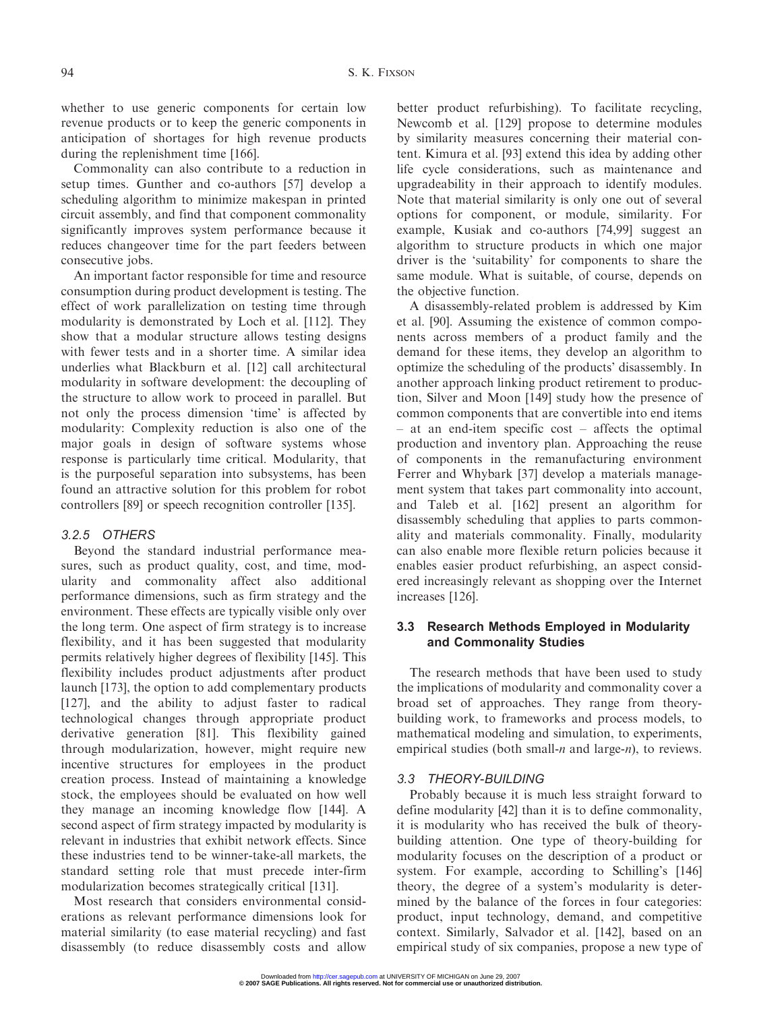whether to use generic components for certain low revenue products or to keep the generic components in anticipation of shortages for high revenue products during the replenishment time [166].

Commonality can also contribute to a reduction in setup times. Gunther and co-authors [57] develop a scheduling algorithm to minimize makespan in printed circuit assembly, and find that component commonality significantly improves system performance because it reduces changeover time for the part feeders between consecutive jobs.

An important factor responsible for time and resource consumption during product development is testing. The effect of work parallelization on testing time through modularity is demonstrated by Loch et al. [112]. They show that a modular structure allows testing designs with fewer tests and in a shorter time. A similar idea underlies what Blackburn et al. [12] call architectural modularity in software development: the decoupling of the structure to allow work to proceed in parallel. But not only the process dimension 'time' is affected by modularity: Complexity reduction is also one of the major goals in design of software systems whose response is particularly time critical. Modularity, that is the purposeful separation into subsystems, has been found an attractive solution for this problem for robot controllers [89] or speech recognition controller [135].

#### 3.2.5 OTHERS

Beyond the standard industrial performance measures, such as product quality, cost, and time, modularity and commonality affect also additional performance dimensions, such as firm strategy and the environment. These effects are typically visible only over the long term. One aspect of firm strategy is to increase flexibility, and it has been suggested that modularity permits relatively higher degrees of flexibility [145]. This flexibility includes product adjustments after product launch [173], the option to add complementary products [127], and the ability to adjust faster to radical technological changes through appropriate product derivative generation [81]. This flexibility gained through modularization, however, might require new incentive structures for employees in the product creation process. Instead of maintaining a knowledge stock, the employees should be evaluated on how well they manage an incoming knowledge flow [144]. A second aspect of firm strategy impacted by modularity is relevant in industries that exhibit network effects. Since these industries tend to be winner-take-all markets, the standard setting role that must precede inter-firm modularization becomes strategically critical [131].

Most research that considers environmental considerations as relevant performance dimensions look for material similarity (to ease material recycling) and fast disassembly (to reduce disassembly costs and allow

better product refurbishing). To facilitate recycling, Newcomb et al. [129] propose to determine modules by similarity measures concerning their material content. Kimura et al. [93] extend this idea by adding other life cycle considerations, such as maintenance and upgradeability in their approach to identify modules. Note that material similarity is only one out of several options for component, or module, similarity. For example, Kusiak and co-authors [74,99] suggest an algorithm to structure products in which one major driver is the 'suitability' for components to share the same module. What is suitable, of course, depends on the objective function.

A disassembly-related problem is addressed by Kim et al. [90]. Assuming the existence of common components across members of a product family and the demand for these items, they develop an algorithm to optimize the scheduling of the products' disassembly. In another approach linking product retirement to production, Silver and Moon [149] study how the presence of common components that are convertible into end items – at an end-item specific cost – affects the optimal production and inventory plan. Approaching the reuse of components in the remanufacturing environment Ferrer and Whybark [37] develop a materials management system that takes part commonality into account, and Taleb et al. [162] present an algorithm for disassembly scheduling that applies to parts commonality and materials commonality. Finally, modularity can also enable more flexible return policies because it enables easier product refurbishing, an aspect considered increasingly relevant as shopping over the Internet increases [126].

# 3.3 Research Methods Employed in Modularity and Commonality Studies

The research methods that have been used to study the implications of modularity and commonality cover a broad set of approaches. They range from theorybuilding work, to frameworks and process models, to mathematical modeling and simulation, to experiments, empirical studies (both small- $n$  and large- $n$ ), to reviews.

#### 3.3 THEORY-BUILDING

Probably because it is much less straight forward to define modularity [42] than it is to define commonality, it is modularity who has received the bulk of theorybuilding attention. One type of theory-building for modularity focuses on the description of a product or system. For example, according to Schilling's [146] theory, the degree of a system's modularity is determined by the balance of the forces in four categories: product, input technology, demand, and competitive context. Similarly, Salvador et al. [142], based on an empirical study of six companies, propose a new type of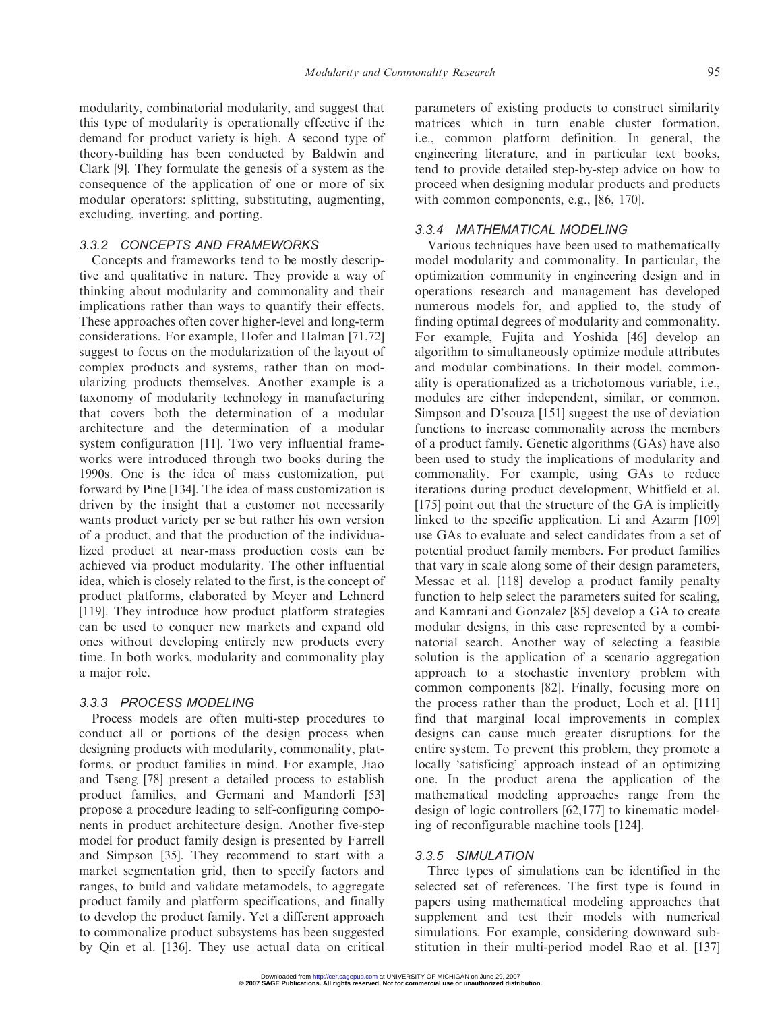modularity, combinatorial modularity, and suggest that this type of modularity is operationally effective if the demand for product variety is high. A second type of theory-building has been conducted by Baldwin and Clark [9]. They formulate the genesis of a system as the consequence of the application of one or more of six modular operators: splitting, substituting, augmenting, excluding, inverting, and porting.

## 3.3.2 CONCEPTS AND FRAMEWORKS

Concepts and frameworks tend to be mostly descriptive and qualitative in nature. They provide a way of thinking about modularity and commonality and their implications rather than ways to quantify their effects. These approaches often cover higher-level and long-term considerations. For example, Hofer and Halman [71,72] suggest to focus on the modularization of the layout of complex products and systems, rather than on modularizing products themselves. Another example is a taxonomy of modularity technology in manufacturing that covers both the determination of a modular architecture and the determination of a modular system configuration [11]. Two very influential frameworks were introduced through two books during the 1990s. One is the idea of mass customization, put forward by Pine [134]. The idea of mass customization is driven by the insight that a customer not necessarily wants product variety per se but rather his own version of a product, and that the production of the individualized product at near-mass production costs can be achieved via product modularity. The other influential idea, which is closely related to the first, is the concept of product platforms, elaborated by Meyer and Lehnerd [119]. They introduce how product platform strategies can be used to conquer new markets and expand old ones without developing entirely new products every time. In both works, modularity and commonality play a major role.

#### 3.3.3 PROCESS MODELING

Process models are often multi-step procedures to conduct all or portions of the design process when designing products with modularity, commonality, platforms, or product families in mind. For example, Jiao and Tseng [78] present a detailed process to establish product families, and Germani and Mandorli [53] propose a procedure leading to self-configuring components in product architecture design. Another five-step model for product family design is presented by Farrell and Simpson [35]. They recommend to start with a market segmentation grid, then to specify factors and ranges, to build and validate metamodels, to aggregate product family and platform specifications, and finally to develop the product family. Yet a different approach to commonalize product subsystems has been suggested by Qin et al. [136]. They use actual data on critical

parameters of existing products to construct similarity matrices which in turn enable cluster formation, i.e., common platform definition. In general, the engineering literature, and in particular text books, tend to provide detailed step-by-step advice on how to proceed when designing modular products and products with common components, e.g., [86, 170].

# 3.3.4 MATHEMATICAL MODELING

Various techniques have been used to mathematically model modularity and commonality. In particular, the optimization community in engineering design and in operations research and management has developed numerous models for, and applied to, the study of finding optimal degrees of modularity and commonality. For example, Fujita and Yoshida [46] develop an algorithm to simultaneously optimize module attributes and modular combinations. In their model, commonality is operationalized as a trichotomous variable, i.e., modules are either independent, similar, or common. Simpson and D'souza [151] suggest the use of deviation functions to increase commonality across the members of a product family. Genetic algorithms (GAs) have also been used to study the implications of modularity and commonality. For example, using GAs to reduce iterations during product development, Whitfield et al. [175] point out that the structure of the GA is implicitly linked to the specific application. Li and Azarm [109] use GAs to evaluate and select candidates from a set of potential product family members. For product families that vary in scale along some of their design parameters, Messac et al. [118] develop a product family penalty function to help select the parameters suited for scaling, and Kamrani and Gonzalez [85] develop a GA to create modular designs, in this case represented by a combinatorial search. Another way of selecting a feasible solution is the application of a scenario aggregation approach to a stochastic inventory problem with common components [82]. Finally, focusing more on the process rather than the product, Loch et al. [111] find that marginal local improvements in complex designs can cause much greater disruptions for the entire system. To prevent this problem, they promote a locally 'satisficing' approach instead of an optimizing one. In the product arena the application of the mathematical modeling approaches range from the design of logic controllers [62,177] to kinematic modeling of reconfigurable machine tools [124].

## 3.3.5 SIMULATION

Three types of simulations can be identified in the selected set of references. The first type is found in papers using mathematical modeling approaches that supplement and test their models with numerical simulations. For example, considering downward substitution in their multi-period model Rao et al. [137]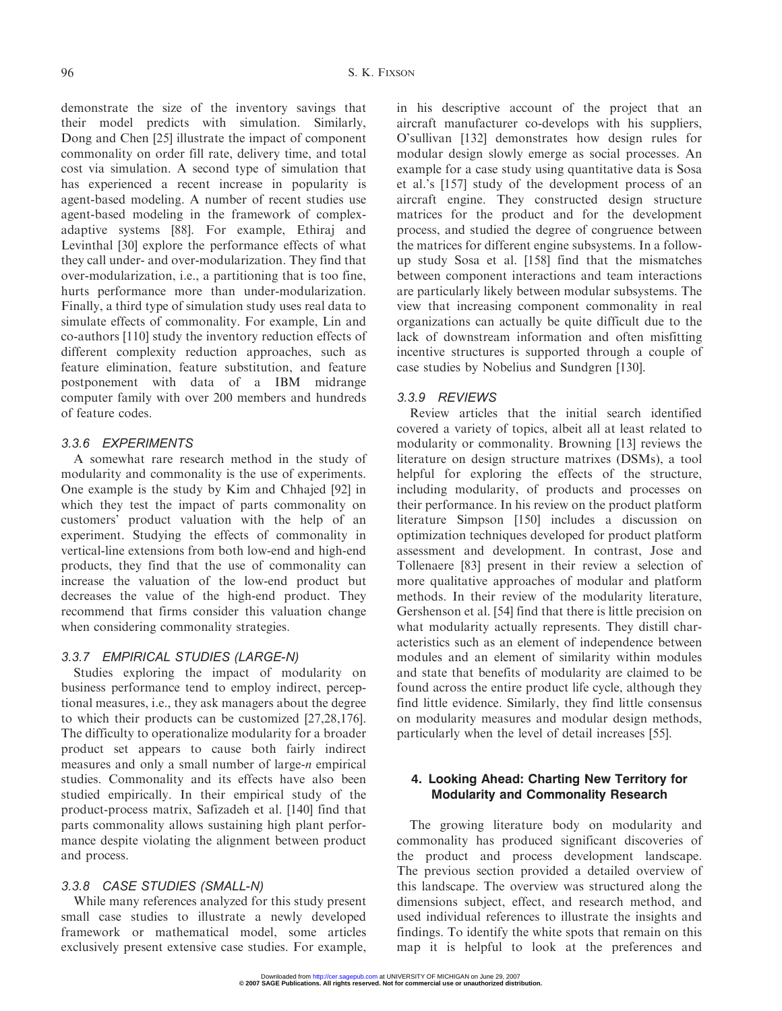demonstrate the size of the inventory savings that their model predicts with simulation. Similarly, Dong and Chen [25] illustrate the impact of component commonality on order fill rate, delivery time, and total cost via simulation. A second type of simulation that has experienced a recent increase in popularity is agent-based modeling. A number of recent studies use agent-based modeling in the framework of complexadaptive systems [88]. For example, Ethiraj and Levinthal [30] explore the performance effects of what they call under- and over-modularization. They find that over-modularization, i.e., a partitioning that is too fine, hurts performance more than under-modularization. Finally, a third type of simulation study uses real data to simulate effects of commonality. For example, Lin and co-authors [110] study the inventory reduction effects of different complexity reduction approaches, such as feature elimination, feature substitution, and feature postponement with data of a IBM midrange computer family with over 200 members and hundreds of feature codes.

# 3.3.6 EXPERIMENTS

A somewhat rare research method in the study of modularity and commonality is the use of experiments. One example is the study by Kim and Chhajed [92] in which they test the impact of parts commonality on customers' product valuation with the help of an experiment. Studying the effects of commonality in vertical-line extensions from both low-end and high-end products, they find that the use of commonality can increase the valuation of the low-end product but decreases the value of the high-end product. They recommend that firms consider this valuation change when considering commonality strategies.

# 3.3.7 EMPIRICAL STUDIES (LARGE-N)

Studies exploring the impact of modularity on business performance tend to employ indirect, perceptional measures, i.e., they ask managers about the degree to which their products can be customized [27,28,176]. The difficulty to operationalize modularity for a broader product set appears to cause both fairly indirect measures and only a small number of large-n empirical studies. Commonality and its effects have also been studied empirically. In their empirical study of the product-process matrix, Safizadeh et al. [140] find that parts commonality allows sustaining high plant performance despite violating the alignment between product and process.

# 3.3.8 CASE STUDIES (SMALL-N)

While many references analyzed for this study present small case studies to illustrate a newly developed framework or mathematical model, some articles exclusively present extensive case studies. For example, in his descriptive account of the project that an aircraft manufacturer co-develops with his suppliers, O'sullivan [132] demonstrates how design rules for modular design slowly emerge as social processes. An example for a case study using quantitative data is Sosa et al.'s [157] study of the development process of an aircraft engine. They constructed design structure matrices for the product and for the development process, and studied the degree of congruence between the matrices for different engine subsystems. In a followup study Sosa et al. [158] find that the mismatches between component interactions and team interactions are particularly likely between modular subsystems. The view that increasing component commonality in real organizations can actually be quite difficult due to the lack of downstream information and often misfitting incentive structures is supported through a couple of case studies by Nobelius and Sundgren [130].

# 3.3.9 REVIEWS

Review articles that the initial search identified covered a variety of topics, albeit all at least related to modularity or commonality. Browning [13] reviews the literature on design structure matrixes (DSMs), a tool helpful for exploring the effects of the structure, including modularity, of products and processes on their performance. In his review on the product platform literature Simpson [150] includes a discussion on optimization techniques developed for product platform assessment and development. In contrast, Jose and Tollenaere [83] present in their review a selection of more qualitative approaches of modular and platform methods. In their review of the modularity literature, Gershenson et al. [54] find that there is little precision on what modularity actually represents. They distill characteristics such as an element of independence between modules and an element of similarity within modules and state that benefits of modularity are claimed to be found across the entire product life cycle, although they find little evidence. Similarly, they find little consensus on modularity measures and modular design methods, particularly when the level of detail increases [55].

# 4. Looking Ahead: Charting New Territory for Modularity and Commonality Research

The growing literature body on modularity and commonality has produced significant discoveries of the product and process development landscape. The previous section provided a detailed overview of this landscape. The overview was structured along the dimensions subject, effect, and research method, and used individual references to illustrate the insights and findings. To identify the white spots that remain on this map it is helpful to look at the preferences and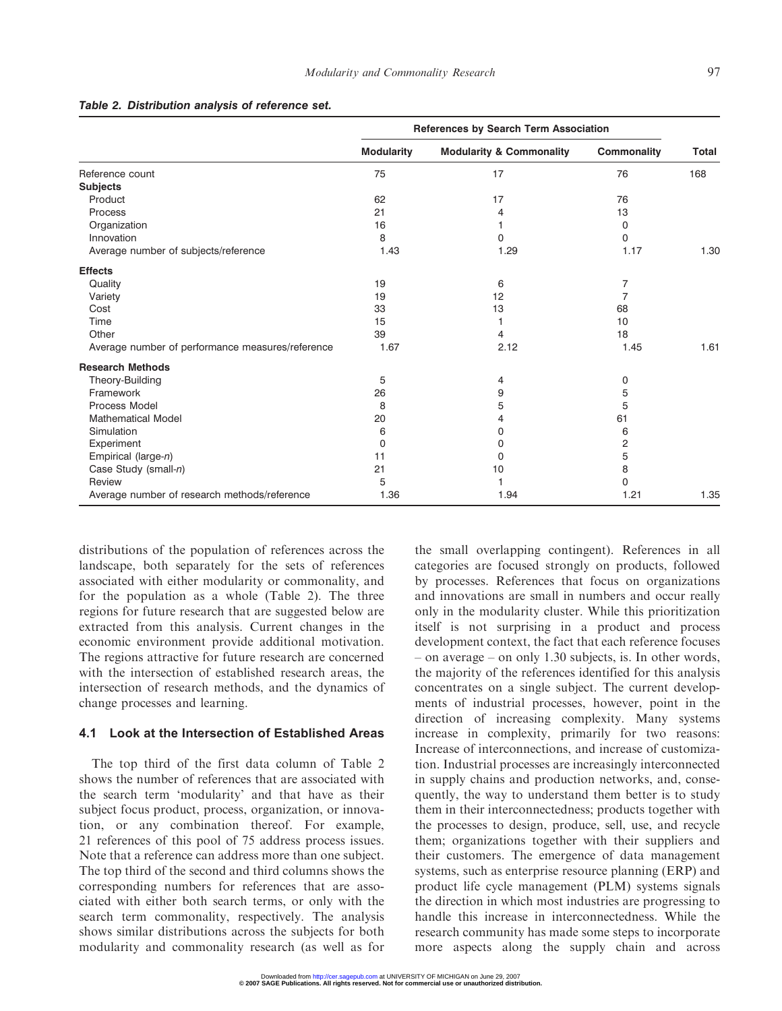|                                                  |                   | References by Search Term Association |             |       |
|--------------------------------------------------|-------------------|---------------------------------------|-------------|-------|
|                                                  | <b>Modularity</b> | <b>Modularity &amp; Commonality</b>   | Commonality | Total |
| Reference count                                  | 75                | 17                                    | 76          | 168   |
| <b>Subjects</b>                                  |                   |                                       |             |       |
| Product                                          | 62                | 17                                    | 76          |       |
| Process                                          | 21                | 4                                     | 13          |       |
| Organization                                     | 16                |                                       | 0           |       |
| Innovation                                       | 8                 | 0                                     | 0           |       |
| Average number of subjects/reference             | 1.43              | 1.29                                  | 1.17        | 1.30  |
| <b>Effects</b>                                   |                   |                                       |             |       |
| Quality                                          | 19                | 6                                     | 7           |       |
| Variety                                          | 19                | 12                                    | 7           |       |
| Cost                                             | 33                | 13                                    | 68          |       |
| Time                                             | 15                |                                       | 10          |       |
| Other                                            | 39                | 4                                     | 18          |       |
| Average number of performance measures/reference | 1.67              | 2.12                                  | 1.45        | 1.61  |
| <b>Research Methods</b>                          |                   |                                       |             |       |
| Theory-Building                                  | 5                 | 4                                     | 0           |       |
| Framework                                        | 26                | 9                                     | 5           |       |
| Process Model                                    | 8                 | 5                                     | 5           |       |
| <b>Mathematical Model</b>                        | 20                | 4                                     | 61          |       |
| Simulation                                       | 6                 | 0                                     | 6           |       |
| Experiment                                       | 0                 | 0                                     | 2           |       |
| Empirical (large-n)                              | 11                | 0                                     | 5           |       |
| Case Study (small-n)                             | 21                | 10                                    | 8           |       |
| Review                                           | 5                 |                                       | 0           |       |
| Average number of research methods/reference     | 1.36              | 1.94                                  | 1.21        | 1.35  |

#### Table 2. Distribution analysis of reference set.

distributions of the population of references across the landscape, both separately for the sets of references associated with either modularity or commonality, and for the population as a whole (Table 2). The three regions for future research that are suggested below are extracted from this analysis. Current changes in the economic environment provide additional motivation. The regions attractive for future research are concerned with the intersection of established research areas, the intersection of research methods, and the dynamics of change processes and learning.

### 4.1 Look at the Intersection of Established Areas

The top third of the first data column of Table 2 shows the number of references that are associated with the search term 'modularity' and that have as their subject focus product, process, organization, or innovation, or any combination thereof. For example, 21 references of this pool of 75 address process issues. Note that a reference can address more than one subject. The top third of the second and third columns shows the corresponding numbers for references that are associated with either both search terms, or only with the search term commonality, respectively. The analysis shows similar distributions across the subjects for both modularity and commonality research (as well as for

the small overlapping contingent). References in all categories are focused strongly on products, followed by processes. References that focus on organizations and innovations are small in numbers and occur really only in the modularity cluster. While this prioritization itself is not surprising in a product and process development context, the fact that each reference focuses – on average – on only 1.30 subjects, is. In other words, the majority of the references identified for this analysis concentrates on a single subject. The current developments of industrial processes, however, point in the direction of increasing complexity. Many systems increase in complexity, primarily for two reasons: Increase of interconnections, and increase of customization. Industrial processes are increasingly interconnected in supply chains and production networks, and, consequently, the way to understand them better is to study them in their interconnectedness; products together with the processes to design, produce, sell, use, and recycle them; organizations together with their suppliers and their customers. The emergence of data management systems, such as enterprise resource planning (ERP) and product life cycle management (PLM) systems signals the direction in which most industries are progressing to handle this increase in interconnectedness. While the research community has made some steps to incorporate more aspects along the supply chain and across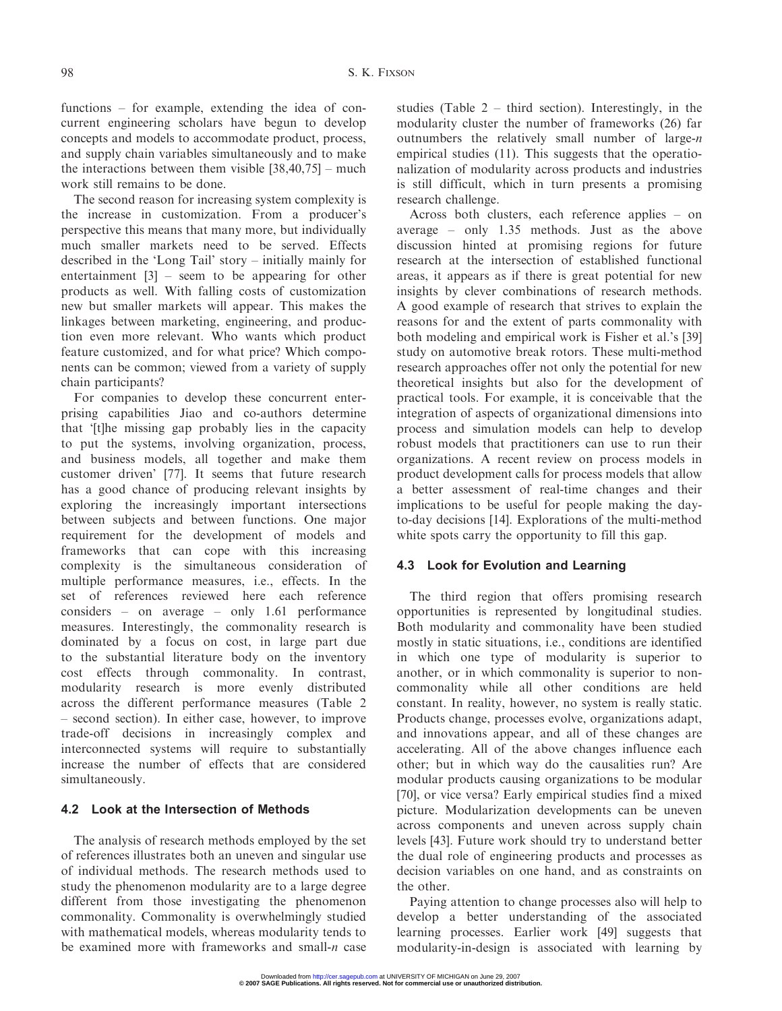functions – for example, extending the idea of concurrent engineering scholars have begun to develop concepts and models to accommodate product, process, and supply chain variables simultaneously and to make the interactions between them visible  $[38, 40, 75]$  – much work still remains to be done.

The second reason for increasing system complexity is the increase in customization. From a producer's perspective this means that many more, but individually much smaller markets need to be served. Effects described in the 'Long Tail' story – initially mainly for entertainment [3] – seem to be appearing for other products as well. With falling costs of customization new but smaller markets will appear. This makes the linkages between marketing, engineering, and production even more relevant. Who wants which product feature customized, and for what price? Which components can be common; viewed from a variety of supply chain participants?

For companies to develop these concurrent enterprising capabilities Jiao and co-authors determine that '[t]he missing gap probably lies in the capacity to put the systems, involving organization, process, and business models, all together and make them customer driven' [77]. It seems that future research has a good chance of producing relevant insights by exploring the increasingly important intersections between subjects and between functions. One major requirement for the development of models and frameworks that can cope with this increasing complexity is the simultaneous consideration of multiple performance measures, i.e., effects. In the set of references reviewed here each reference considers – on average – only 1.61 performance measures. Interestingly, the commonality research is dominated by a focus on cost, in large part due to the substantial literature body on the inventory cost effects through commonality. In contrast, modularity research is more evenly distributed across the different performance measures (Table 2 – second section). In either case, however, to improve trade-off decisions in increasingly complex and interconnected systems will require to substantially increase the number of effects that are considered simultaneously.

## 4.2 Look at the Intersection of Methods

The analysis of research methods employed by the set of references illustrates both an uneven and singular use of individual methods. The research methods used to study the phenomenon modularity are to a large degree different from those investigating the phenomenon commonality. Commonality is overwhelmingly studied with mathematical models, whereas modularity tends to be examined more with frameworks and small- $n$  case studies (Table  $2 -$  third section). Interestingly, in the modularity cluster the number of frameworks (26) far outnumbers the relatively small number of large- $n$ empirical studies (11). This suggests that the operationalization of modularity across products and industries is still difficult, which in turn presents a promising research challenge.

Across both clusters, each reference applies – on average – only 1.35 methods. Just as the above discussion hinted at promising regions for future research at the intersection of established functional areas, it appears as if there is great potential for new insights by clever combinations of research methods. A good example of research that strives to explain the reasons for and the extent of parts commonality with both modeling and empirical work is Fisher et al.'s [39] study on automotive break rotors. These multi-method research approaches offer not only the potential for new theoretical insights but also for the development of practical tools. For example, it is conceivable that the integration of aspects of organizational dimensions into process and simulation models can help to develop robust models that practitioners can use to run their organizations. A recent review on process models in product development calls for process models that allow a better assessment of real-time changes and their implications to be useful for people making the dayto-day decisions [14]. Explorations of the multi-method white spots carry the opportunity to fill this gap.

#### 4.3 Look for Evolution and Learning

The third region that offers promising research opportunities is represented by longitudinal studies. Both modularity and commonality have been studied mostly in static situations, i.e., conditions are identified in which one type of modularity is superior to another, or in which commonality is superior to noncommonality while all other conditions are held constant. In reality, however, no system is really static. Products change, processes evolve, organizations adapt, and innovations appear, and all of these changes are accelerating. All of the above changes influence each other; but in which way do the causalities run? Are modular products causing organizations to be modular [70], or vice versa? Early empirical studies find a mixed picture. Modularization developments can be uneven across components and uneven across supply chain levels [43]. Future work should try to understand better the dual role of engineering products and processes as decision variables on one hand, and as constraints on the other.

Paying attention to change processes also will help to develop a better understanding of the associated learning processes. Earlier work [49] suggests that modularity-in-design is associated with learning by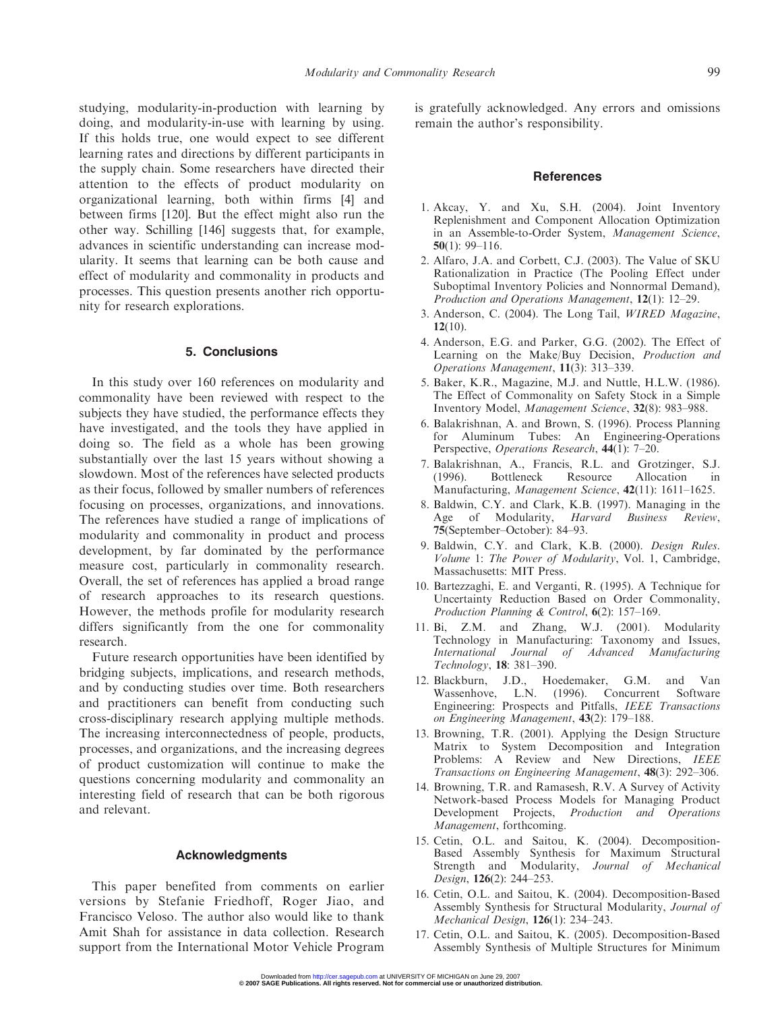studying, modularity-in-production with learning by doing, and modularity-in-use with learning by using. If this holds true, one would expect to see different learning rates and directions by different participants in the supply chain. Some researchers have directed their attention to the effects of product modularity on organizational learning, both within firms [4] and between firms [120]. But the effect might also run the other way. Schilling [146] suggests that, for example, advances in scientific understanding can increase modularity. It seems that learning can be both cause and effect of modularity and commonality in products and processes. This question presents another rich opportunity for research explorations.

## 5. Conclusions

In this study over 160 references on modularity and commonality have been reviewed with respect to the subjects they have studied, the performance effects they have investigated, and the tools they have applied in doing so. The field as a whole has been growing substantially over the last 15 years without showing a slowdown. Most of the references have selected products as their focus, followed by smaller numbers of references focusing on processes, organizations, and innovations. The references have studied a range of implications of modularity and commonality in product and process development, by far dominated by the performance measure cost, particularly in commonality research. Overall, the set of references has applied a broad range of research approaches to its research questions. However, the methods profile for modularity research differs significantly from the one for commonality research.

Future research opportunities have been identified by bridging subjects, implications, and research methods, and by conducting studies over time. Both researchers and practitioners can benefit from conducting such cross-disciplinary research applying multiple methods. The increasing interconnectedness of people, products, processes, and organizations, and the increasing degrees of product customization will continue to make the questions concerning modularity and commonality an interesting field of research that can be both rigorous and relevant.

#### Acknowledgments

This paper benefited from comments on earlier versions by Stefanie Friedhoff, Roger Jiao, and Francisco Veloso. The author also would like to thank Amit Shah for assistance in data collection. Research support from the International Motor Vehicle Program is gratefully acknowledged. Any errors and omissions remain the author's responsibility.

#### **References**

- 1. Akcay, Y. and Xu, S.H. (2004). Joint Inventory Replenishment and Component Allocation Optimization in an Assemble-to-Order System, Management Science, 50(1): 99–116.
- 2. Alfaro, J.A. and Corbett, C.J. (2003). The Value of SKU Rationalization in Practice (The Pooling Effect under Suboptimal Inventory Policies and Nonnormal Demand), Production and Operations Management, 12(1): 12–29.
- 3. Anderson, C. (2004). The Long Tail, WIRED Magazine, 12(10).
- 4. Anderson, E.G. and Parker, G.G. (2002). The Effect of Learning on the Make/Buy Decision, Production and Operations Management, 11(3): 313–339.
- 5. Baker, K.R., Magazine, M.J. and Nuttle, H.L.W. (1986). The Effect of Commonality on Safety Stock in a Simple Inventory Model, Management Science, 32(8): 983–988.
- 6. Balakrishnan, A. and Brown, S. (1996). Process Planning for Aluminum Tubes: An Engineering-Operations Perspective, Operations Research, 44(1): 7–20.
- 7. Balakrishnan, A., Francis, R.L. and Grotzinger, S.J. (1996). Bottleneck Resource Allocation in Manufacturing, Management Science, 42(11): 1611-1625.
- 8. Baldwin, C.Y. and Clark, K.B. (1997). Managing in the Age of Modularity, Harvard Business Review, 75(September–October): 84–93.
- 9. Baldwin, C.Y. and Clark, K.B. (2000). Design Rules. Volume 1: The Power of Modularity, Vol. 1, Cambridge, Massachusetts: MIT Press.
- 10. Bartezzaghi, E. and Verganti, R. (1995). A Technique for Uncertainty Reduction Based on Order Commonality, Production Planning & Control, 6(2): 157-169.
- 11. Bi, Z.M. and Zhang, W.J. (2001). Modularity Technology in Manufacturing: Taxonomy and Issues, International Journal of Advanced Manufacturing Technology, 18: 381–390.
- 12. Blackburn, J.D., Hoedemaker, G.M. and Van Wassenhove, L.N. (1996). Concurrent Software Engineering: Prospects and Pitfalls, IEEE Transactions on Engineering Management, 43(2): 179–188.
- 13. Browning, T.R. (2001). Applying the Design Structure Matrix to System Decomposition and Integration Problems: A Review and New Directions, IEEE Transactions on Engineering Management, 48(3): 292–306.
- 14. Browning, T.R. and Ramasesh, R.V. A Survey of Activity Network-based Process Models for Managing Product Development Projects, Production and Operations Management, forthcoming.
- 15. Cetin, O.L. and Saitou, K. (2004). Decomposition-Based Assembly Synthesis for Maximum Structural Strength and Modularity, Journal of Mechanical Design, 126(2): 244–253.
- 16. Cetin, O.L. and Saitou, K. (2004). Decomposition-Based Assembly Synthesis for Structural Modularity, Journal of Mechanical Design, 126(1): 234–243.
- 17. Cetin, O.L. and Saitou, K. (2005). Decomposition-Based Assembly Synthesis of Multiple Structures for Minimum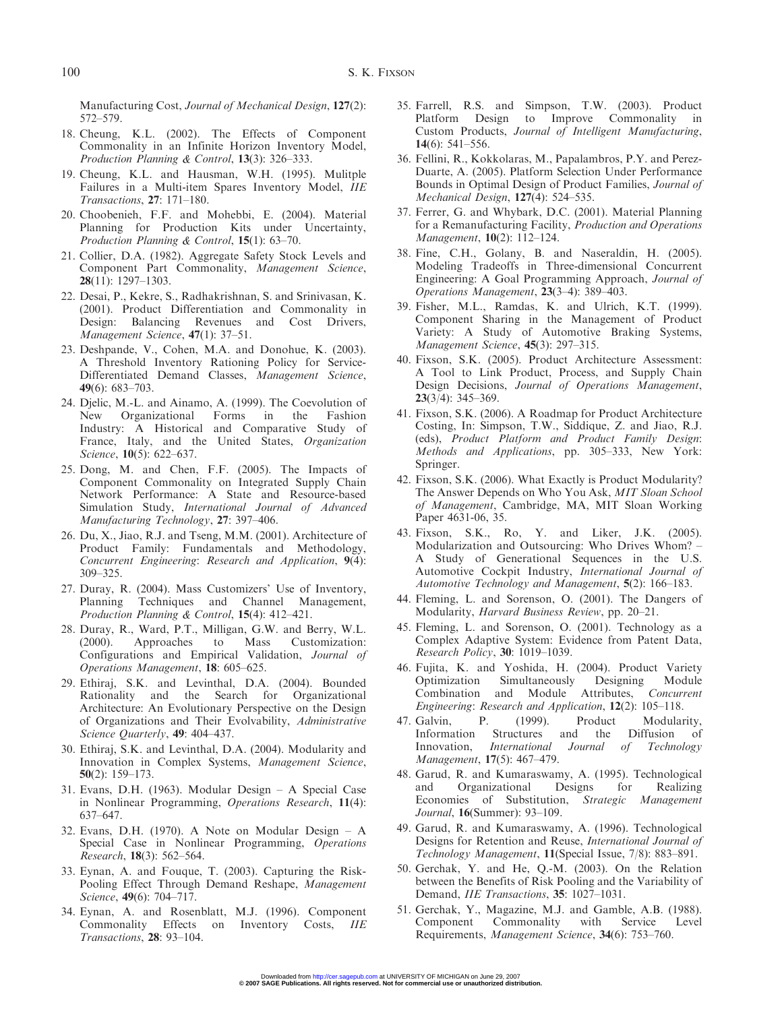Manufacturing Cost, Journal of Mechanical Design, 127(2): 572–579.

- 18. Cheung, K.L. (2002). The Effects of Component Commonality in an Infinite Horizon Inventory Model, Production Planning & Control, 13(3): 326–333.
- 19. Cheung, K.L. and Hausman, W.H. (1995). Mulitple Failures in a Multi-item Spares Inventory Model, IIE Transactions, 27: 171–180.
- 20. Choobenieh, F.F. and Mohebbi, E. (2004). Material Planning for Production Kits under Uncertainty, Production Planning & Control, 15(1): 63–70.
- 21. Collier, D.A. (1982). Aggregate Safety Stock Levels and Component Part Commonality, Management Science, 28(11): 1297–1303.
- 22. Desai, P., Kekre, S., Radhakrishnan, S. and Srinivasan, K. (2001). Product Differentiation and Commonality in Design: Balancing Revenues and Cost Drivers, Management Science, 47(1): 37–51.
- 23. Deshpande, V., Cohen, M.A. and Donohue, K. (2003). A Threshold Inventory Rationing Policy for Service-Differentiated Demand Classes, Management Science, 49(6): 683–703.
- 24. Djelic, M.-L. and Ainamo, A. (1999). The Coevolution of New Organizational Forms in the Fashion Industry: A Historical and Comparative Study of France, Italy, and the United States, Organization Science, **10**(5): 622-637.
- 25. Dong, M. and Chen, F.F. (2005). The Impacts of Component Commonality on Integrated Supply Chain Network Performance: A State and Resource-based Simulation Study, International Journal of Advanced Manufacturing Technology, 27: 397–406.
- 26. Du, X., Jiao, R.J. and Tseng, M.M. (2001). Architecture of Product Family: Fundamentals and Methodology, Concurrent Engineering: Research and Application, 9(4): 309–325.
- 27. Duray, R. (2004). Mass Customizers' Use of Inventory, Planning Techniques and Channel Management, Production Planning & Control, 15(4): 412–421.
- 28. Duray, R., Ward, P.T., Milligan, G.W. and Berry, W.L. (2000). Approaches to Mass Customization: Configurations and Empirical Validation, Journal of Operations Management, 18: 605–625.
- 29. Ethiraj, S.K. and Levinthal, D.A. (2004). Bounded Rationality and the Search for Organizational Architecture: An Evolutionary Perspective on the Design of Organizations and Their Evolvability, Administrative Science Quarterly, 49: 404-437.
- 30. Ethiraj, S.K. and Levinthal, D.A. (2004). Modularity and Innovation in Complex Systems, Management Science, 50(2): 159–173.
- 31. Evans, D.H. (1963). Modular Design A Special Case in Nonlinear Programming, Operations Research, 11(4): 637–647.
- 32. Evans, D.H. (1970). A Note on Modular Design A Special Case in Nonlinear Programming, Operations Research, 18(3): 562–564.
- 33. Eynan, A. and Fouque, T. (2003). Capturing the Risk-Pooling Effect Through Demand Reshape, Management Science, 49(6): 704–717.
- 34. Eynan, A. and Rosenblatt, M.J. (1996). Component Commonality Effects on Inventory Costs, IIE Transactions, 28: 93–104.
- 35. Farrell, R.S. and Simpson, T.W. (2003). Product Platform Design to Improve Commonality in Custom Products, Journal of Intelligent Manufacturing, 14(6): 541–556.
- 36. Fellini, R., Kokkolaras, M., Papalambros, P.Y. and Perez-Duarte, A. (2005). Platform Selection Under Performance Bounds in Optimal Design of Product Families, Journal of Mechanical Design, 127(4): 524–535.
- 37. Ferrer, G. and Whybark, D.C. (2001). Material Planning for a Remanufacturing Facility, Production and Operations Management, 10(2): 112–124.
- 38. Fine, C.H., Golany, B. and Naseraldin, H. (2005). Modeling Tradeoffs in Three-dimensional Concurrent Engineering: A Goal Programming Approach, Journal of Operations Management, 23(3–4): 389–403.
- 39. Fisher, M.L., Ramdas, K. and Ulrich, K.T. (1999). Component Sharing in the Management of Product Variety: A Study of Automotive Braking Systems, Management Science, 45(3): 297–315.
- 40. Fixson, S.K. (2005). Product Architecture Assessment: A Tool to Link Product, Process, and Supply Chain Design Decisions, Journal of Operations Management, 23(3/4): 345–369.
- 41. Fixson, S.K. (2006). A Roadmap for Product Architecture Costing, In: Simpson, T.W., Siddique, Z. and Jiao, R.J. (eds), Product Platform and Product Family Design: Methods and Applications, pp. 305–333, New York: Springer.
- 42. Fixson, S.K. (2006). What Exactly is Product Modularity? The Answer Depends on Who You Ask, MIT Sloan School of Management, Cambridge, MA, MIT Sloan Working Paper 4631-06, 35.
- 43. Fixson, S.K., Ro, Y. and Liker, J.K. (2005). Modularization and Outsourcing: Who Drives Whom? – A Study of Generational Sequences in the U.S. Automotive Cockpit Industry, International Journal of Automotive Technology and Management, 5(2): 166–183.
- 44. Fleming, L. and Sorenson, O. (2001). The Dangers of Modularity, Harvard Business Review, pp. 20–21.
- 45. Fleming, L. and Sorenson, O. (2001). Technology as a Complex Adaptive System: Evidence from Patent Data, Research Policy, 30: 1019-1039.
- 46. Fujita, K. and Yoshida, H. (2004). Product Variety Optimization Simultaneously Designing Module Combination and Module Attributes, Concurrent Engineering: Research and Application, 12(2): 105–118.
- 47. Galvin, P. (1999). Product Modularity, Information Structures and the Diffusion of Innovation, International Journal of Technology Management, 17(5): 467–479.
- 48. Garud, R. and Kumaraswamy, A. (1995). Technological and Organizational Designs for Realizing Economies of Substitution, Strategic Management Journal, 16(Summer): 93–109.
- 49. Garud, R. and Kumaraswamy, A. (1996). Technological Designs for Retention and Reuse, International Journal of Technology Management, 11(Special Issue, 7/8): 883–891.
- 50. Gerchak, Y. and He, Q.-M. (2003). On the Relation between the Benefits of Risk Pooling and the Variability of Demand, IIE Transactions, 35: 1027-1031.
- 51. Gerchak, Y., Magazine, M.J. and Gamble, A.B. (1988). Component Commonality with Service Level Requirements, Management Science, 34(6): 753–760.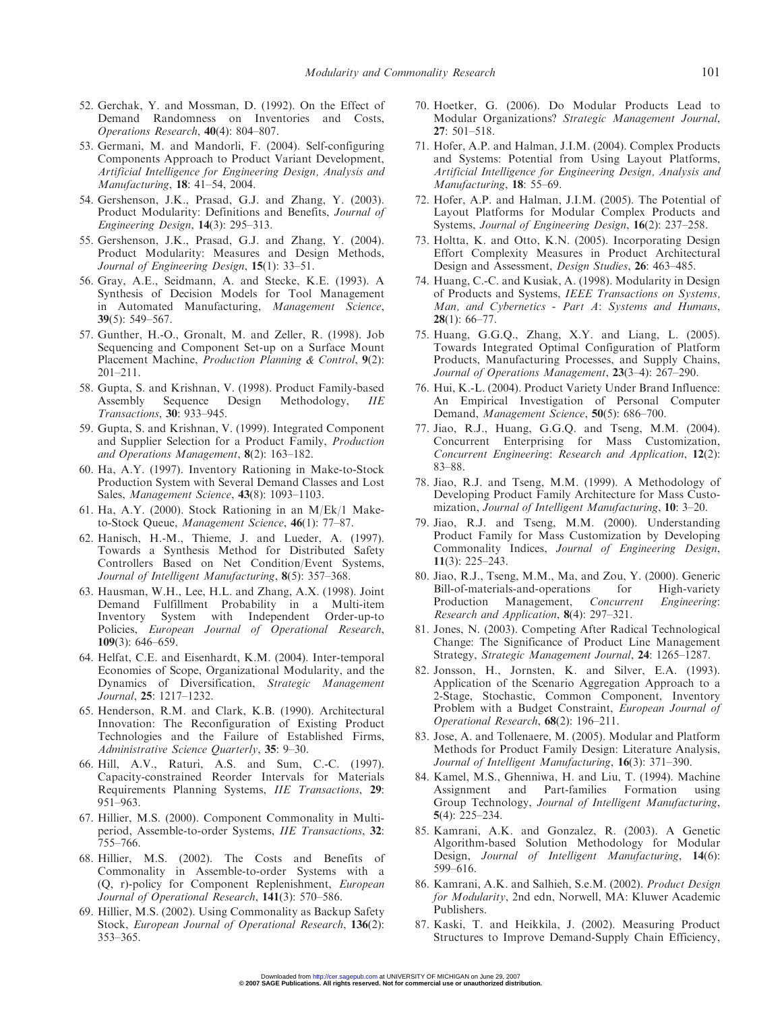- 52. Gerchak, Y. and Mossman, D. (1992). On the Effect of Demand Randomness on Inventories and Costs, Operations Research, 40(4): 804–807.
- 53. Germani, M. and Mandorli, F. (2004). Self-configuring Components Approach to Product Variant Development, Artificial Intelligence for Engineering Design, Analysis and Manufacturing, 18: 41–54, 2004.
- 54. Gershenson, J.K., Prasad, G.J. and Zhang, Y. (2003). Product Modularity: Definitions and Benefits, Journal of Engineering Design, 14(3): 295–313.
- 55. Gershenson, J.K., Prasad, G.J. and Zhang, Y. (2004). Product Modularity: Measures and Design Methods, Journal of Engineering Design, 15(1): 33–51.
- 56. Gray, A.E., Seidmann, A. and Stecke, K.E. (1993). A Synthesis of Decision Models for Tool Management in Automated Manufacturing, Management Science, 39(5): 549–567.
- 57. Gunther, H.-O., Gronalt, M. and Zeller, R. (1998). Job Sequencing and Component Set-up on a Surface Mount Placement Machine, *Production Planning & Control*, 9(2): 201–211.
- 58. Gupta, S. and Krishnan, V. (1998). Product Family-based Assembly Sequence Design Methodology, IIE Transactions, 30: 933–945.
- 59. Gupta, S. and Krishnan, V. (1999). Integrated Component and Supplier Selection for a Product Family, Production and Operations Management, 8(2): 163–182.
- 60. Ha, A.Y. (1997). Inventory Rationing in Make-to-Stock Production System with Several Demand Classes and Lost Sales, Management Science, 43(8): 1093–1103.
- 61. Ha, A.Y. (2000). Stock Rationing in an M/Ek/1 Maketo-Stock Queue, Management Science, 46(1): 77-87.
- 62. Hanisch, H.-M., Thieme, J. and Lueder, A. (1997). Towards a Synthesis Method for Distributed Safety Controllers Based on Net Condition/Event Systems, Journal of Intelligent Manufacturing, 8(5): 357–368.
- 63. Hausman, W.H., Lee, H.L. and Zhang, A.X. (1998). Joint Demand Fulfillment Probability in a Multi-item Inventory System with Independent Order-up-to Policies, European Journal of Operational Research, 109(3): 646–659.
- 64. Helfat, C.E. and Eisenhardt, K.M. (2004). Inter-temporal Economies of Scope, Organizational Modularity, and the Dynamics of Diversification, Strategic Management Journal, 25: 1217–1232.
- 65. Henderson, R.M. and Clark, K.B. (1990). Architectural Innovation: The Reconfiguration of Existing Product Technologies and the Failure of Established Firms, Administrative Science Quarterly, 35: 9-30.
- 66. Hill, A.V., Raturi, A.S. and Sum, C.-C. (1997). Capacity-constrained Reorder Intervals for Materials Requirements Planning Systems, IIE Transactions, 29: 951–963.
- 67. Hillier, M.S. (2000). Component Commonality in Multiperiod, Assemble-to-order Systems, IIE Transactions, 32: 755–766.
- 68. Hillier, M.S. (2002). The Costs and Benefits of Commonality in Assemble-to-order Systems with a (Q, r)-policy for Component Replenishment, European Journal of Operational Research, 141(3): 570–586.
- 69. Hillier, M.S. (2002). Using Commonality as Backup Safety Stock, European Journal of Operational Research, 136(2): 353–365.
- 70. Hoetker, G. (2006). Do Modular Products Lead to Modular Organizations? Strategic Management Journal, 27: 501–518.
- 71. Hofer, A.P. and Halman, J.I.M. (2004). Complex Products and Systems: Potential from Using Layout Platforms, Artificial Intelligence for Engineering Design, Analysis and Manufacturing, 18: 55–69.
- 72. Hofer, A.P. and Halman, J.I.M. (2005). The Potential of Layout Platforms for Modular Complex Products and Systems, Journal of Engineering Design, 16(2): 237–258.
- 73. Holtta, K. and Otto, K.N. (2005). Incorporating Design Effort Complexity Measures in Product Architectural Design and Assessment, Design Studies, 26: 463–485.
- 74. Huang, C.-C. and Kusiak, A. (1998). Modularity in Design of Products and Systems, IEEE Transactions on Systems, Man, and Cybernetics - Part A: Systems and Humans, **28**(1): 66–77.
- 75. Huang, G.G.Q., Zhang, X.Y. and Liang, L. (2005). Towards Integrated Optimal Configuration of Platform Products, Manufacturing Processes, and Supply Chains, Journal of Operations Management, 23(3–4): 267–290.
- 76. Hui, K.-L. (2004). Product Variety Under Brand Influence: An Empirical Investigation of Personal Computer Demand, Management Science, 50(5): 686-700.
- 77. Jiao, R.J., Huang, G.G.Q. and Tseng, M.M. (2004). Concurrent Enterprising for Mass Customization, Concurrent Engineering: Research and Application, 12(2): 83–88.
- 78. Jiao, R.J. and Tseng, M.M. (1999). A Methodology of Developing Product Family Architecture for Mass Customization, Journal of Intelligent Manufacturing, 10: 3–20.
- 79. Jiao, R.J. and Tseng, M.M. (2000). Understanding Product Family for Mass Customization by Developing Commonality Indices, Journal of Engineering Design, 11(3): 225–243.
- 80. Jiao, R.J., Tseng, M.M., Ma, and Zou, Y. (2000). Generic Bill-of-materials-and-operations for High-variety Production Management, Concurrent Engineering: Research and Application, 8(4): 297–321.
- 81. Jones, N. (2003). Competing After Radical Technological Change: The Significance of Product Line Management Strategy, Strategic Management Journal, 24: 1265–1287.
- 82. Jonsson, H., Jornsten, K. and Silver, E.A. (1993). Application of the Scenario Aggregation Approach to a 2-Stage, Stochastic, Common Component, Inventory Problem with a Budget Constraint, European Journal of Operational Research, 68(2): 196–211.
- 83. Jose, A. and Tollenaere, M. (2005). Modular and Platform Methods for Product Family Design: Literature Analysis, Journal of Intelligent Manufacturing, 16(3): 371–390.
- 84. Kamel, M.S., Ghenniwa, H. and Liu, T. (1994). Machine Assignment and Part-families Formation using Group Technology, Journal of Intelligent Manufacturing, 5(4): 225–234.
- 85. Kamrani, A.K. and Gonzalez, R. (2003). A Genetic Algorithm-based Solution Methodology for Modular Design, Journal of Intelligent Manufacturing, 14(6): 599–616.
- 86. Kamrani, A.K. and Salhieh, S.e.M. (2002). Product Design for Modularity, 2nd edn, Norwell, MA: Kluwer Academic Publishers.
- 87. Kaski, T. and Heikkila, J. (2002). Measuring Product Structures to Improve Demand-Supply Chain Efficiency,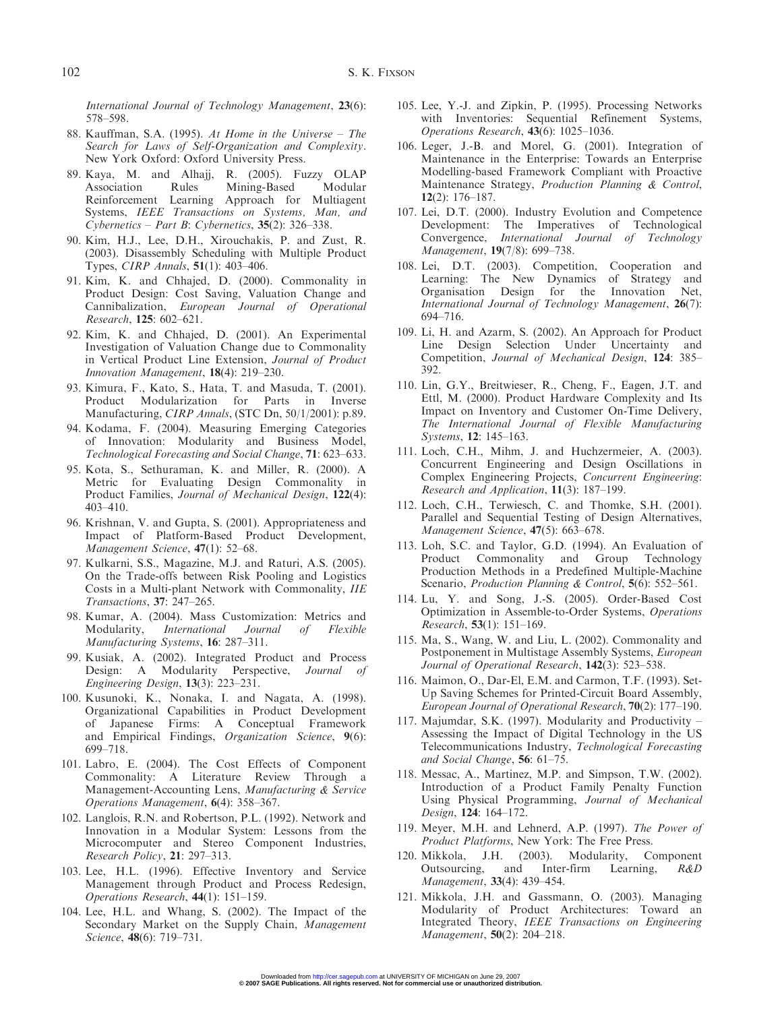International Journal of Technology Management, 23(6): 578–598.

- 88. Kauffman, S.A. (1995). At Home in the Universe The Search for Laws of Self-Organization and Complexity. New York Oxford: Oxford University Press.
- 89. Kaya, M. and Alhajj, R. (2005). Fuzzy OLAP Association Rules Mining-Based Modular Reinforcement Learning Approach for Multiagent Systems, IEEE Transactions on Systems, Man, and Cybernetics - Part B: Cybernetics,  $35(2)$ :  $326-338$ .
- 90. Kim, H.J., Lee, D.H., Xirouchakis, P. and Zust, R. (2003). Disassembly Scheduling with Multiple Product Types, CIRP Annals, 51(1): 403–406.
- 91. Kim, K. and Chhajed, D. (2000). Commonality in Product Design: Cost Saving, Valuation Change and Cannibalization, European Journal of Operational Research, 125: 602–621.
- 92. Kim, K. and Chhajed, D. (2001). An Experimental Investigation of Valuation Change due to Commonality in Vertical Product Line Extension, Journal of Product Innovation Management, 18(4): 219–230.
- 93. Kimura, F., Kato, S., Hata, T. and Masuda, T. (2001). Product Modularization for Parts in Inverse Manufacturing, CIRP Annals, (STC Dn, 50/1/2001): p.89.
- 94. Kodama, F. (2004). Measuring Emerging Categories of Innovation: Modularity and Business Model, Technological Forecasting and Social Change, 71: 623–633.
- 95. Kota, S., Sethuraman, K. and Miller, R. (2000). A Metric for Evaluating Design Commonality in Product Families, Journal of Mechanical Design, 122(4): 403–410.
- 96. Krishnan, V. and Gupta, S. (2001). Appropriateness and Impact of Platform-Based Product Development, Management Science, 47(1): 52-68.
- 97. Kulkarni, S.S., Magazine, M.J. and Raturi, A.S. (2005). On the Trade-offs between Risk Pooling and Logistics Costs in a Multi-plant Network with Commonality, IIE Transactions, 37: 247–265.
- 98. Kumar, A. (2004). Mass Customization: Metrics and Modularity, International Journal of Flexible Manufacturing Systems, 16: 287–311.
- 99. Kusiak, A. (2002). Integrated Product and Process Design: A Modularity Perspective, Journal of Engineering Design, 13(3): 223–231.
- 100. Kusunoki, K., Nonaka, I. and Nagata, A. (1998). Organizational Capabilities in Product Development of Japanese Firms: A Conceptual Framework and Empirical Findings, Organization Science, 9(6): 699–718.
- 101. Labro, E. (2004). The Cost Effects of Component Commonality: A Literature Review Through a Management-Accounting Lens, Manufacturing & Service Operations Management, 6(4): 358–367.
- 102. Langlois, R.N. and Robertson, P.L. (1992). Network and Innovation in a Modular System: Lessons from the Microcomputer and Stereo Component Industries, Research Policy, 21: 297–313.
- 103. Lee, H.L. (1996). Effective Inventory and Service Management through Product and Process Redesign, Operations Research, 44(1): 151-159.
- 104. Lee, H.L. and Whang, S. (2002). The Impact of the Secondary Market on the Supply Chain, Management Science, **48**(6): 719-731.
- 105. Lee, Y.-J. and Zipkin, P. (1995). Processing Networks with Inventories: Sequential Refinement Systems, Operations Research, 43(6): 1025–1036.
- 106. Leger, J.-B. and Morel, G. (2001). Integration of Maintenance in the Enterprise: Towards an Enterprise Modelling-based Framework Compliant with Proactive Maintenance Strategy, Production Planning & Control, 12(2): 176–187.
- 107. Lei, D.T. (2000). Industry Evolution and Competence Development: The Imperatives of Technological Convergence, International Journal of Technology Management, 19(7/8): 699–738.
- 108. Lei, D.T. (2003). Competition, Cooperation and Learning: The New Dynamics of Strategy and Organisation Design for the Innovation Net, International Journal of Technology Management, 26(7): 694–716.
- 109. Li, H. and Azarm, S. (2002). An Approach for Product Line Design Selection Under Uncertainty and Competition, Journal of Mechanical Design, 124: 385– 392.
- 110. Lin, G.Y., Breitwieser, R., Cheng, F., Eagen, J.T. and Ettl, M. (2000). Product Hardware Complexity and Its Impact on Inventory and Customer On-Time Delivery, The International Journal of Flexible Manufacturing Systems, 12: 145–163.
- 111. Loch, C.H., Mihm, J. and Huchzermeier, A. (2003). Concurrent Engineering and Design Oscillations in Complex Engineering Projects, Concurrent Engineering: Research and Application, 11(3): 187–199.
- 112. Loch, C.H., Terwiesch, C. and Thomke, S.H. (2001). Parallel and Sequential Testing of Design Alternatives, Management Science, 47(5): 663–678.
- 113. Loh, S.C. and Taylor, G.D. (1994). An Evaluation of Product Commonality and Group Technology Production Methods in a Predefined Multiple-Machine Scenario, Production Planning & Control, 5(6): 552-561.
- 114. Lu, Y. and Song, J.-S. (2005). Order-Based Cost Optimization in Assemble-to-Order Systems, Operations Research, 53(1): 151–169.
- 115. Ma, S., Wang, W. and Liu, L. (2002). Commonality and Postponement in Multistage Assembly Systems, European Journal of Operational Research, 142(3): 523–538.
- 116. Maimon, O., Dar-El, E.M. and Carmon, T.F. (1993). Set-Up Saving Schemes for Printed-Circuit Board Assembly, European Journal of Operational Research, 70(2): 177–190.
- 117. Majumdar, S.K. (1997). Modularity and Productivity Assessing the Impact of Digital Technology in the US Telecommunications Industry, Technological Forecasting and Social Change, 56: 61–75.
- 118. Messac, A., Martinez, M.P. and Simpson, T.W. (2002). Introduction of a Product Family Penalty Function Using Physical Programming, Journal of Mechanical Design, 124: 164–172.
- 119. Meyer, M.H. and Lehnerd, A.P. (1997). The Power of Product Platforms, New York: The Free Press.
- 120. Mikkola, J.H. (2003). Modularity, Component Outsourcing, and Inter-firm Learning, R&D Management, 33(4): 439–454.
- 121. Mikkola, J.H. and Gassmann, O. (2003). Managing Modularity of Product Architectures: Toward an Integrated Theory, IEEE Transactions on Engineering Management, 50(2): 204–218.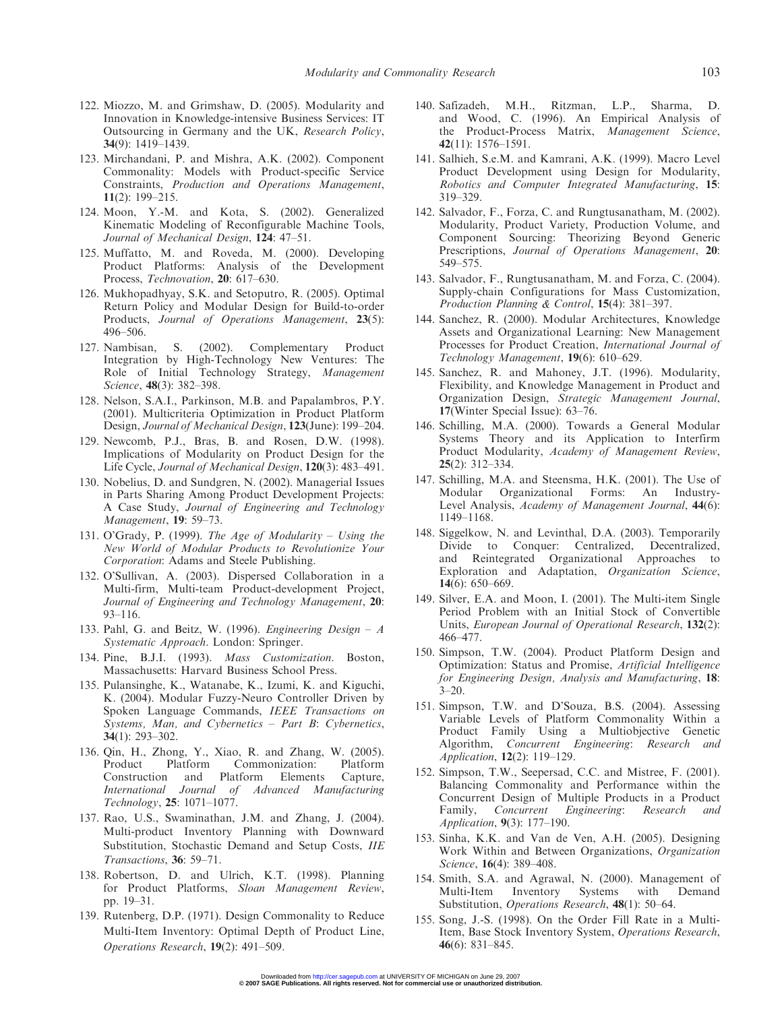- 122. Miozzo, M. and Grimshaw, D. (2005). Modularity and Innovation in Knowledge-intensive Business Services: IT Outsourcing in Germany and the UK, Research Policy, 34(9): 1419–1439.
- 123. Mirchandani, P. and Mishra, A.K. (2002). Component Commonality: Models with Product-specific Service Constraints, Production and Operations Management, 11(2): 199–215.
- 124. Moon, Y.-M. and Kota, S. (2002). Generalized Kinematic Modeling of Reconfigurable Machine Tools, Journal of Mechanical Design, 124: 47-51.
- 125. Muffatto, M. and Roveda, M. (2000). Developing Product Platforms: Analysis of the Development Process, Technovation, 20: 617–630.
- 126. Mukhopadhyay, S.K. and Setoputro, R. (2005). Optimal Return Policy and Modular Design for Build-to-order Products, Journal of Operations Management, 23(5): 496–506.
- 127. Nambisan, S. (2002). Complementary Product Integration by High-Technology New Ventures: The Role of Initial Technology Strategy, Management Science, **48**(3): 382-398.
- 128. Nelson, S.A.I., Parkinson, M.B. and Papalambros, P.Y. (2001). Multicriteria Optimization in Product Platform Design, Journal of Mechanical Design, 123(June): 199–204.
- 129. Newcomb, P.J., Bras, B. and Rosen, D.W. (1998). Implications of Modularity on Product Design for the Life Cycle, Journal of Mechanical Design, 120(3): 483–491.
- 130. Nobelius, D. and Sundgren, N. (2002). Managerial Issues in Parts Sharing Among Product Development Projects: A Case Study, Journal of Engineering and Technology Management, 19: 59–73.
- 131. O'Grady, P. (1999). The Age of Modularity Using the New World of Modular Products to Revolutionize Your Corporation: Adams and Steele Publishing.
- 132. O'Sullivan, A. (2003). Dispersed Collaboration in a Multi-firm, Multi-team Product-development Project, Journal of Engineering and Technology Management, 20: 93–116.
- 133. Pahl, G. and Beitz, W. (1996). Engineering Design  $A$ Systematic Approach. London: Springer.
- 134. Pine, B.J.I. (1993). Mass Customization. Boston, Massachusetts: Harvard Business School Press.
- 135. Pulansinghe, K., Watanabe, K., Izumi, K. and Kiguchi, K. (2004). Modular Fuzzy-Neuro Controller Driven by Spoken Language Commands, IEEE Transactions on Systems, Man, and Cybernetics – Part B: Cybernetics, 34(1): 293–302.
- 136. Qin, H., Zhong, Y., Xiao, R. and Zhang, W. (2005). Product Platform Commonization: Platform Construction and Platform Elements Capture, International Journal of Advanced Manufacturing Technology, 25: 1071–1077.
- 137. Rao, U.S., Swaminathan, J.M. and Zhang, J. (2004). Multi-product Inventory Planning with Downward Substitution, Stochastic Demand and Setup Costs, IIE Transactions, 36: 59–71.
- 138. Robertson, D. and Ulrich, K.T. (1998). Planning for Product Platforms, Sloan Management Review, pp. 19–31.
- 139. Rutenberg, D.P. (1971). Design Commonality to Reduce Multi-Item Inventory: Optimal Depth of Product Line, Operations Research, 19(2): 491–509.
- 140. Safizadeh, M.H., Ritzman, L.P., Sharma, D. and Wood, C. (1996). An Empirical Analysis of the Product-Process Matrix, Management Science, 42(11): 1576–1591.
- 141. Salhieh, S.e.M. and Kamrani, A.K. (1999). Macro Level Product Development using Design for Modularity, Robotics and Computer Integrated Manufacturing, 15: 319–329.
- 142. Salvador, F., Forza, C. and Rungtusanatham, M. (2002). Modularity, Product Variety, Production Volume, and Component Sourcing: Theorizing Beyond Generic Prescriptions, Journal of Operations Management, 20: 549–575.
- 143. Salvador, F., Rungtusanatham, M. and Forza, C. (2004). Supply-chain Configurations for Mass Customization, Production Planning & Control, 15(4): 381–397.
- 144. Sanchez, R. (2000). Modular Architectures, Knowledge Assets and Organizational Learning: New Management Processes for Product Creation, International Journal of Technology Management, 19(6): 610–629.
- 145. Sanchez, R. and Mahoney, J.T. (1996). Modularity, Flexibility, and Knowledge Management in Product and Organization Design, Strategic Management Journal, 17(Winter Special Issue): 63–76.
- 146. Schilling, M.A. (2000). Towards a General Modular Systems Theory and its Application to Interfirm Product Modularity, Academy of Management Review, 25(2): 312–334.
- 147. Schilling, M.A. and Steensma, H.K. (2001). The Use of Modular Organizational Forms: An Industry-Level Analysis, Academy of Management Journal, 44(6): 1149–1168.
- 148. Siggelkow, N. and Levinthal, D.A. (2003). Temporarily Divide to Conquer: Centralized, Decentralized, and Reintegrated Organizational Approaches to Exploration and Adaptation, Organization Science, 14(6): 650–669.
- 149. Silver, E.A. and Moon, I. (2001). The Multi-item Single Period Problem with an Initial Stock of Convertible Units, European Journal of Operational Research, 132(2): 466–477.
- 150. Simpson, T.W. (2004). Product Platform Design and Optimization: Status and Promise, Artificial Intelligence for Engineering Design, Analysis and Manufacturing, 18:  $3 - 20$ .
- 151. Simpson, T.W. and D'Souza, B.S. (2004). Assessing Variable Levels of Platform Commonality Within a Product Family Using a Multiobjective Genetic Algorithm, Concurrent Engineering: Research and Application, 12(2): 119–129.
- 152. Simpson, T.W., Seepersad, C.C. and Mistree, F. (2001). Balancing Commonality and Performance within the Concurrent Design of Multiple Products in a Product Family, Concurrent Engineering: Research and Application, 9(3): 177–190.
- 153. Sinha, K.K. and Van de Ven, A.H. (2005). Designing Work Within and Between Organizations, Organization Science, 16(4): 389–408.
- 154. Smith, S.A. and Agrawal, N. (2000). Management of Multi-Item Inventory Systems with Demand Substitution, Operations Research, 48(1): 50–64.
- 155. Song, J.-S. (1998). On the Order Fill Rate in a Multi-Item, Base Stock Inventory System, Operations Research, 46(6): 831–845.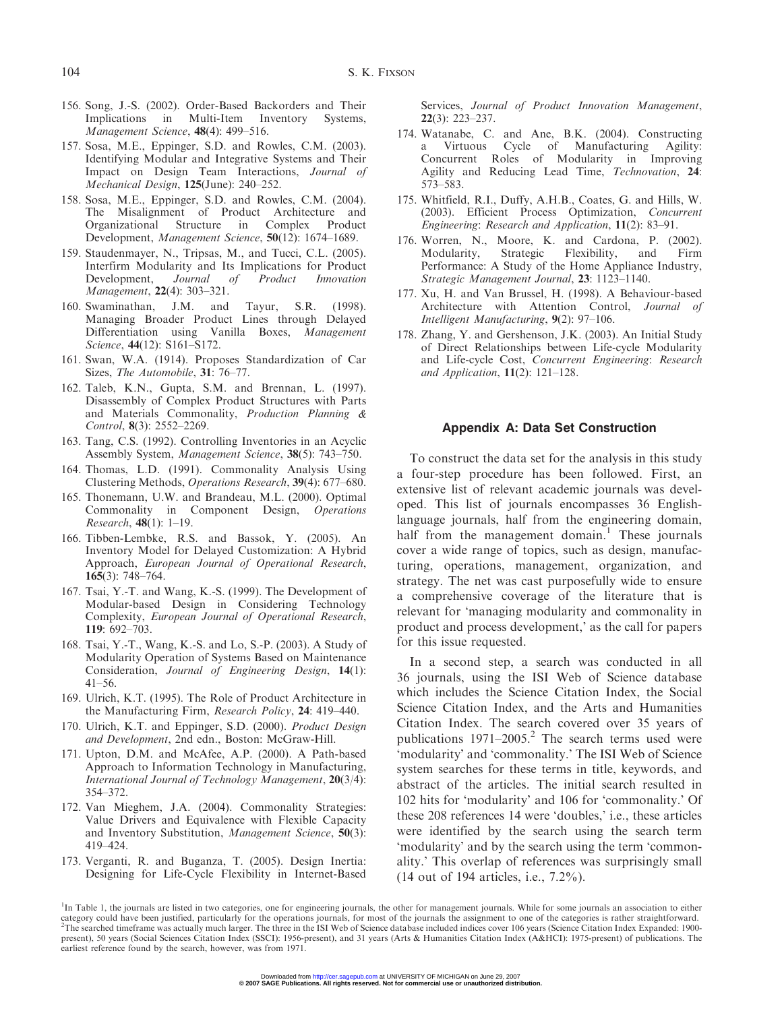- 156. Song, J.-S. (2002). Order-Based Backorders and Their Implications in Multi-Item Inventory Systems, Management Science, 48(4): 499–516.
- 157. Sosa, M.E., Eppinger, S.D. and Rowles, C.M. (2003). Identifying Modular and Integrative Systems and Their Impact on Design Team Interactions, Journal of Mechanical Design, 125(June): 240–252.
- 158. Sosa, M.E., Eppinger, S.D. and Rowles, C.M. (2004). The Misalignment of Product Architecture and Organizational Structure in Complex Product Development, Management Science, 50(12): 1674–1689.
- 159. Staudenmayer, N., Tripsas, M., and Tucci, C.L. (2005). Interfirm Modularity and Its Implications for Product Development, Journal of Product Innovation Management, 22(4): 303–321.
- 160. Swaminathan, J.M. and Tayur, S.R. (1998). Managing Broader Product Lines through Delayed Differentiation using Vanilla Boxes, Management Science, 44(12): S161–S172.
- 161. Swan, W.A. (1914). Proposes Standardization of Car Sizes, The Automobile, 31: 76-77.
- 162. Taleb, K.N., Gupta, S.M. and Brennan, L. (1997). Disassembly of Complex Product Structures with Parts and Materials Commonality, Production Planning & Control, 8(3): 2552–2269.
- 163. Tang, C.S. (1992). Controlling Inventories in an Acyclic Assembly System, Management Science, 38(5): 743-750.
- 164. Thomas, L.D. (1991). Commonality Analysis Using Clustering Methods, Operations Research, 39(4): 677–680.
- 165. Thonemann, U.W. and Brandeau, M.L. (2000). Optimal Commonality in Component Design, Operations Research, 48(1): 1–19.
- 166. Tibben-Lembke, R.S. and Bassok, Y. (2005). An Inventory Model for Delayed Customization: A Hybrid Approach, European Journal of Operational Research, 165(3): 748–764.
- 167. Tsai, Y.-T. and Wang, K.-S. (1999). The Development of Modular-based Design in Considering Technology Complexity, European Journal of Operational Research, 119: 692–703.
- 168. Tsai, Y.-T., Wang, K.-S. and Lo, S.-P. (2003). A Study of Modularity Operation of Systems Based on Maintenance Consideration, Journal of Engineering Design, 14(1): 41–56.
- 169. Ulrich, K.T. (1995). The Role of Product Architecture in the Manufacturing Firm, Research Policy, 24: 419–440.
- 170. Ulrich, K.T. and Eppinger, S.D. (2000). Product Design and Development, 2nd edn., Boston: McGraw-Hill.
- 171. Upton, D.M. and McAfee, A.P. (2000). A Path-based Approach to Information Technology in Manufacturing, International Journal of Technology Management, 20(3/4): 354–372.
- 172. Van Mieghem, J.A. (2004). Commonality Strategies: Value Drivers and Equivalence with Flexible Capacity and Inventory Substitution, Management Science, 50(3): 419–424.
- 173. Verganti, R. and Buganza, T. (2005). Design Inertia: Designing for Life-Cycle Flexibility in Internet-Based

Services, Journal of Product Innovation Management, 22(3): 223–237.

- 174. Watanabe, C. and Ane, B.K. (2004). Constructing a Virtuous Cycle of Manufacturing Agility: Concurrent Roles of Modularity in Improving Agility and Reducing Lead Time, Technovation, 24: 573–583.
- 175. Whitfield, R.I., Duffy, A.H.B., Coates, G. and Hills, W. (2003). Efficient Process Optimization, Concurrent Engineering: Research and Application, 11(2): 83–91.
- 176. Worren, N., Moore, K. and Cardona, P. (2002).<br>Modularity, Strategic Flexibility, and Firm Modularity, Strategic Flexibility, and Firm Performance: A Study of the Home Appliance Industry, Strategic Management Journal, 23: 1123-1140.
- 177. Xu, H. and Van Brussel, H. (1998). A Behaviour-based Architecture with Attention Control, Journal of Intelligent Manufacturing, 9(2): 97–106.
- 178. Zhang, Y. and Gershenson, J.K. (2003). An Initial Study of Direct Relationships between Life-cycle Modularity and Life-cycle Cost, Concurrent Engineering: Research and Application, 11(2): 121–128.

#### Appendix A: Data Set Construction

To construct the data set for the analysis in this study a four-step procedure has been followed. First, an extensive list of relevant academic journals was developed. This list of journals encompasses 36 Englishlanguage journals, half from the engineering domain, half from the management domain.<sup>1</sup> These journals cover a wide range of topics, such as design, manufacturing, operations, management, organization, and strategy. The net was cast purposefully wide to ensure a comprehensive coverage of the literature that is relevant for 'managing modularity and commonality in product and process development,' as the call for papers for this issue requested.

In a second step, a search was conducted in all 36 journals, using the ISI Web of Science database which includes the Science Citation Index, the Social Science Citation Index, and the Arts and Humanities Citation Index. The search covered over 35 years of publications  $1971-2005$ <sup>2</sup>. The search terms used were 'modularity' and 'commonality.' The ISI Web of Science system searches for these terms in title, keywords, and abstract of the articles. The initial search resulted in 102 hits for 'modularity' and 106 for 'commonality.' Of these 208 references 14 were 'doubles,' i.e., these articles were identified by the search using the search term 'modularity' and by the search using the term 'commonality.' This overlap of references was surprisingly small (14 out of 194 articles, i.e., 7.2%).

<sup>&</sup>lt;sup>1</sup>In Table 1, the journals are listed in two categories, one for engineering journals, the other for management journals. While for some journals an association to either category could have been justified, particularly for the operations journals, for most of the journals the assignment to one of the categories is rather straightforward. <sup>2</sup> The searched timeframe was actually much larger. The three in the ISI Web of Science database included indices cover 106 years (Science Citation Index Expanded: 1900 present), 50 years (Social Sciences Citation Index (SSCI): 1956-present), and 31 years (Arts & Humanities Citation Index (A&HCI): 1975-present) of publications. The earliest reference found by the search, however, was from 1971.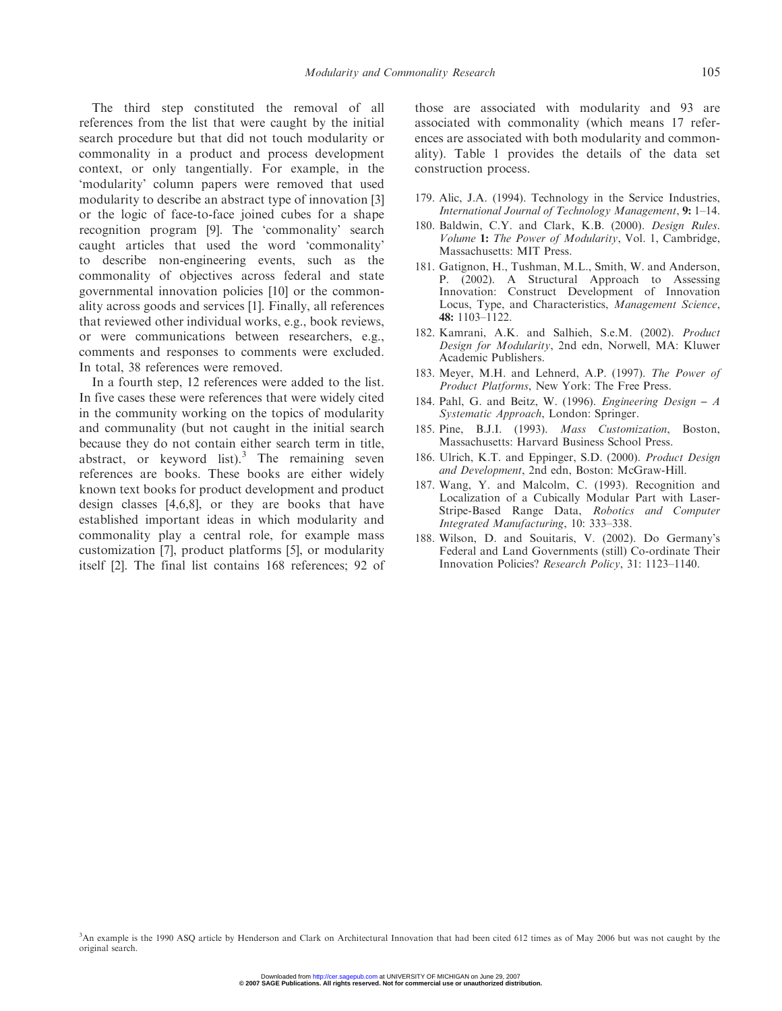The third step constituted the removal of all references from the list that were caught by the initial search procedure but that did not touch modularity or commonality in a product and process development context, or only tangentially. For example, in the 'modularity' column papers were removed that used modularity to describe an abstract type of innovation [3] or the logic of face-to-face joined cubes for a shape recognition program [9]. The 'commonality' search caught articles that used the word 'commonality' to describe non-engineering events, such as the commonality of objectives across federal and state governmental innovation policies [10] or the commonality across goods and services [1]. Finally, all references that reviewed other individual works, e.g., book reviews, or were communications between researchers, e.g., comments and responses to comments were excluded. In total, 38 references were removed.

In a fourth step, 12 references were added to the list. In five cases these were references that were widely cited in the community working on the topics of modularity and communality (but not caught in the initial search because they do not contain either search term in title, abstract, or keyword list). $3$  The remaining seven references are books. These books are either widely known text books for product development and product design classes [4,6,8], or they are books that have established important ideas in which modularity and commonality play a central role, for example mass customization [7], product platforms [5], or modularity itself [2]. The final list contains 168 references; 92 of those are associated with modularity and 93 are associated with commonality (which means 17 references are associated with both modularity and commonality). Table 1 provides the details of the data set construction process.

- 179. Alic, J.A. (1994). Technology in the Service Industries, International Journal of Technology Management, 9: 1–14.
- 180. Baldwin, C.Y. and Clark, K.B. (2000). Design Rules. Volume 1: The Power of Modularity, Vol. 1, Cambridge, Massachusetts: MIT Press.
- 181. Gatignon, H., Tushman, M.L., Smith, W. and Anderson, P. (2002). A Structural Approach to Assessing Innovation: Construct Development of Innovation Locus, Type, and Characteristics, Management Science, 48: 1103–1122.
- 182. Kamrani, A.K. and Salhieh, S.e.M. (2002). Product Design for Modularity, 2nd edn, Norwell, MA: Kluwer Academic Publishers.
- 183. Meyer, M.H. and Lehnerd, A.P. (1997). The Power of Product Platforms, New York: The Free Press.
- 184. Pahl, G. and Beitz, W. (1996). Engineering Design  $A$ Systematic Approach, London: Springer.
- 185. Pine, B.J.I. (1993). Mass Customization, Boston, Massachusetts: Harvard Business School Press.
- 186. Ulrich, K.T. and Eppinger, S.D. (2000). Product Design and Development, 2nd edn, Boston: McGraw-Hill.
- 187. Wang, Y. and Malcolm, C. (1993). Recognition and Localization of a Cubically Modular Part with Laser-Stripe-Based Range Data, Robotics and Computer Integrated Manufacturing, 10: 333–338.
- 188. Wilson, D. and Souitaris, V. (2002). Do Germany's Federal and Land Governments (still) Co-ordinate Their Innovation Policies? Research Policy, 31: 1123–1140.

<sup>&</sup>lt;sup>3</sup>An example is the 1990 ASQ article by Henderson and Clark on Architectural Innovation that had been cited 612 times as of May 2006 but was not caught by the original search.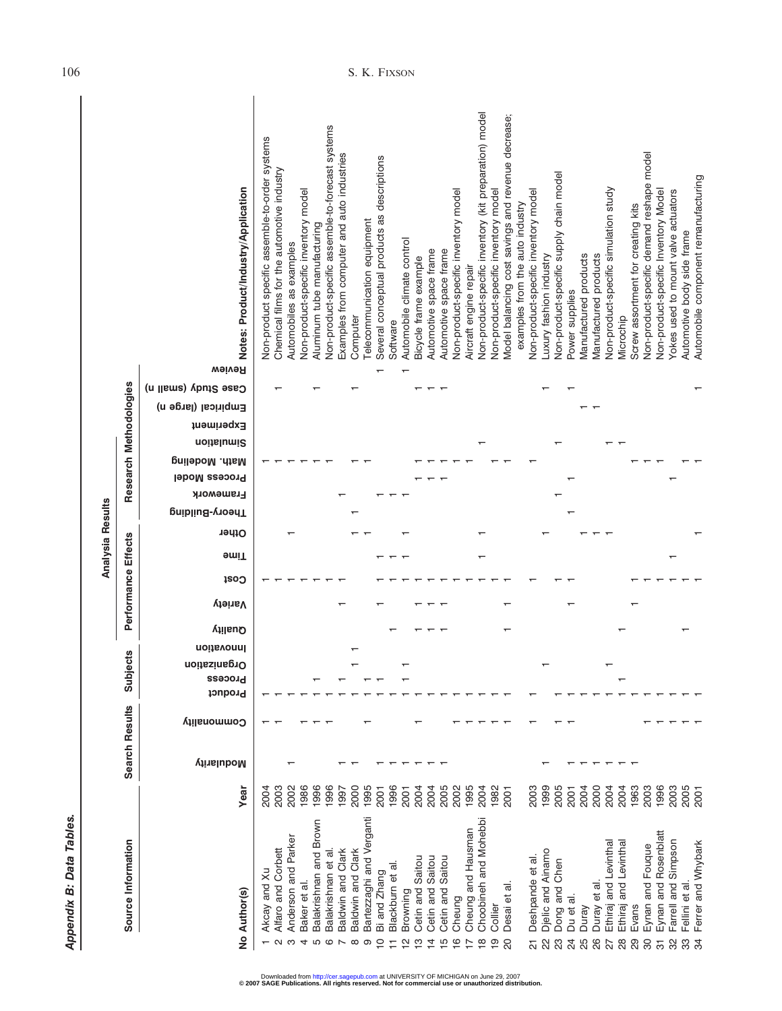| Appendix B: Data Tables.                          |              |            |                |                                                         |         |                 |                     |                          |           |                                        |                   |            |                     |                                       |                                                                                        |
|---------------------------------------------------|--------------|------------|----------------|---------------------------------------------------------|---------|-----------------|---------------------|--------------------------|-----------|----------------------------------------|-------------------|------------|---------------------|---------------------------------------|----------------------------------------------------------------------------------------|
|                                                   |              |            |                |                                                         |         |                 | Analysia Results    |                          |           |                                        |                   |            |                     |                                       |                                                                                        |
| Source Information                                |              |            | Search Results | <b>Subjects</b>                                         |         |                 | Performance Effects |                          |           | Research Methodologies                 |                   |            |                     |                                       |                                                                                        |
| No Author(s)                                      | Year         | Modularity | Commonality    | <b>noifsvonnl</b><br>noitssinsp10<br>Process<br>Product | Quality | Cost<br>Variety | <b>Jime</b>         | Theory-Building<br>Other | Framework | Math. Modeling<br><b>Process Model</b> | <b>Simulation</b> | Experiment | Empirical (large n) | <b>WeiveR</b><br>Case Study (small n) | Notes: Product/Industry/Application                                                    |
|                                                   |              |            |                |                                                         |         |                 |                     |                          |           |                                        |                   |            |                     |                                       |                                                                                        |
| Akcay and Xu<br>$\overline{ }$                    | 2004         |            |                |                                                         |         |                 |                     |                          |           |                                        |                   |            |                     |                                       | Non-product specific assemble-to-order systems                                         |
| Alfaro and Corbett<br>$\sim$                      | 2003         |            |                |                                                         |         |                 |                     |                          |           |                                        |                   |            |                     |                                       | Chemical films for the automotive industry                                             |
| Anderson and Parker<br>Baker et al.<br>က<br>4     | 1986<br>2002 |            |                |                                                         |         |                 |                     |                          |           |                                        |                   |            |                     |                                       | Non-product-specific inventory model<br>Automobiles as examples                        |
| Balakrishnan and Brown<br>Ю                       | 1996         |            |                |                                                         |         |                 |                     |                          |           |                                        |                   |            |                     |                                       | Aluminum tube manufacturing                                                            |
| Balakrishnan et al.<br>ဖ                          | 1996         |            |                |                                                         |         |                 |                     |                          |           |                                        |                   |            |                     |                                       | Non-product-specific assemble-to-forecast systems                                      |
| <b>Baldwin and Clark</b>                          | 1997         |            |                |                                                         |         |                 |                     |                          |           |                                        |                   |            |                     |                                       | Examples from computer and auto industries                                             |
| <b>Baldwin and Clark</b><br>$^{\circ}$            | 2000         |            |                |                                                         |         |                 |                     |                          |           |                                        |                   |            |                     |                                       | Computer                                                                               |
| Bartezzaghi and Verganti<br>ၜ                     | 1995         |            |                |                                                         |         |                 |                     |                          |           |                                        |                   |            |                     |                                       | Telecommunication equipment                                                            |
| Bi and Zhang<br>$\subseteq$                       | 2001         |            |                |                                                         |         |                 |                     |                          |           |                                        |                   |            |                     |                                       | Several conceptual products as descriptions                                            |
| Blackburn et al.<br>Ξ                             | 1996         |            |                |                                                         |         |                 |                     |                          |           |                                        |                   |            |                     |                                       | Software                                                                               |
| Browning<br>$\frac{1}{2}$                         | 2001         |            |                |                                                         |         |                 |                     |                          |           |                                        |                   |            |                     |                                       | Automobile climate control                                                             |
| Cetin and Saitou<br>$\frac{1}{2}$                 | 2004         |            |                |                                                         |         |                 |                     |                          |           |                                        |                   |            |                     |                                       | Bicycle frame example                                                                  |
| Cetin and Saitou<br>$\frac{1}{4}$                 | 2004         |            |                |                                                         |         |                 |                     |                          |           |                                        |                   |            |                     |                                       | Automotive space frame                                                                 |
| Cetin and Saitou<br>$\frac{15}{1}$                | 2005         |            |                |                                                         |         |                 |                     |                          |           |                                        |                   |            |                     |                                       | Automotive space frame                                                                 |
| Cheung<br>$\frac{6}{1}$                           | 2002         |            |                |                                                         |         |                 |                     |                          |           |                                        |                   |            |                     |                                       | Non-product-specific inventory model                                                   |
| Cheung and Hausman<br>$\overline{1}$              | 1995         |            |                |                                                         |         |                 |                     |                          |           |                                        |                   |            |                     |                                       | Aircraft engine repair                                                                 |
| Choobineh and Mohebbi<br>$\frac{8}{1}$            | 2004         |            |                |                                                         |         |                 |                     |                          |           |                                        |                   |            |                     |                                       | Non-product-specific inventory (kit preparation) model                                 |
| Collier<br>$\frac{6}{1}$<br>8                     | 1982         |            |                |                                                         |         |                 |                     |                          |           |                                        |                   |            |                     |                                       | Non-product-specific inventory model                                                   |
| Desai et al                                       | 2001         |            |                |                                                         |         |                 |                     |                          |           |                                        |                   |            |                     |                                       | Vlodel balancing cost savings and revenue decrease;<br>examples from the auto industry |
| Deshpande et al.                                  | 2003         |            |                |                                                         |         |                 |                     |                          |           |                                        |                   |            |                     |                                       | Non-product-specific inventory model                                                   |
| Djelic and Ainamo<br>22                           | 1999         |            |                |                                                         |         |                 |                     |                          |           |                                        |                   |            |                     |                                       | Luxury fashion industry                                                                |
| Dong and Chen<br>ಔ                                | 2005         |            |                |                                                         |         |                 |                     |                          |           |                                        |                   |            |                     |                                       | Non-product-specific supply chain model                                                |
| Du et al.<br>$\overline{2}$                       | 2001         |            |                |                                                         |         |                 |                     |                          |           |                                        |                   |            |                     |                                       | Power supplies                                                                         |
| Duray<br>25                                       | 2004         |            |                |                                                         |         |                 |                     |                          |           |                                        |                   |            |                     |                                       | Manufactured products                                                                  |
| Duray et al.<br>26                                | 2000         |            |                |                                                         |         |                 |                     |                          |           |                                        |                   |            |                     |                                       | Manufactured products                                                                  |
| Ethiraj and Levinthal<br>27                       | 2004         |            |                |                                                         |         |                 |                     |                          |           |                                        |                   |            |                     |                                       | Non-product-specific simulation study                                                  |
| Ethiraj and Levinthal<br>$_{28}$                  | 2004         |            |                |                                                         |         |                 |                     |                          |           |                                        |                   |            |                     |                                       | Microchip                                                                              |
| Evans<br>29                                       | 1963         |            |                |                                                         |         |                 |                     |                          |           |                                        |                   |            |                     |                                       | Screw assortment for creating kits                                                     |
| Eynan and Fouque<br>30                            | 2003         |            |                |                                                         |         |                 |                     |                          |           |                                        |                   |            |                     |                                       | Non-product-specific demand reshape model                                              |
| Eynan and Rosenblatt<br>$\overline{5}$            | 1996         |            |                |                                                         |         |                 |                     |                          |           |                                        |                   |            |                     |                                       | Non-product-specific Inventory Model                                                   |
| Farrell and Simpson<br>Fellini et al.<br>32<br>33 | 2003<br>2005 |            |                |                                                         |         |                 |                     |                          |           |                                        |                   |            |                     |                                       | Yokes used to mount valve actuators<br>Automotive body side frame                      |
| Ferrer and Whybark<br>$\frac{5}{4}$               | 2001         |            |                |                                                         |         |                 |                     |                          |           |                                        |                   |            |                     |                                       | Automobile component remanufacturing                                                   |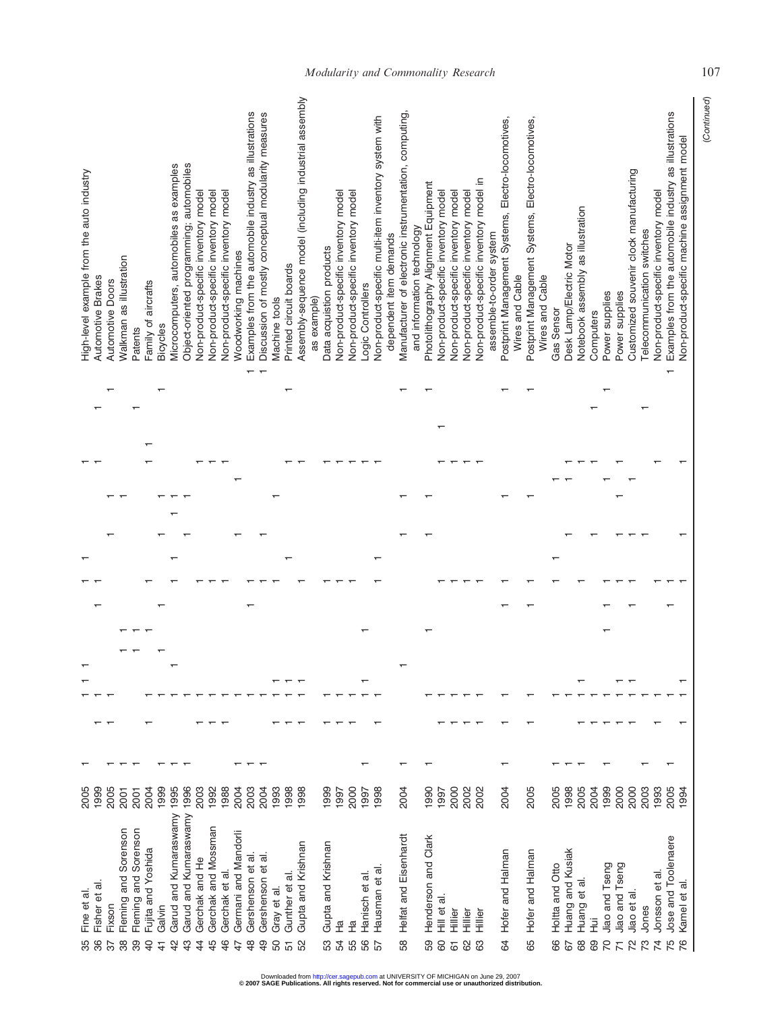|                       | 2005 |  |  |  |  |  |  | High-level example from the auto industry                                                               |
|-----------------------|------|--|--|--|--|--|--|---------------------------------------------------------------------------------------------------------|
|                       | 1999 |  |  |  |  |  |  | Automotive Brakes                                                                                       |
|                       | 2005 |  |  |  |  |  |  | Automotive Doors                                                                                        |
| Fleming and Sorenson  | 2001 |  |  |  |  |  |  | Walkman as illustration                                                                                 |
| Fleming and Sorenson  | 2001 |  |  |  |  |  |  | Patents                                                                                                 |
| Fujita and Yoshida    | 2004 |  |  |  |  |  |  | Family of aircrafts                                                                                     |
|                       | 1999 |  |  |  |  |  |  | Bicycles                                                                                                |
| Garud and Kumaraswamy | 1995 |  |  |  |  |  |  | Microcomputers, automobiles as examples                                                                 |
| Garud and Kumaraswamy | 1996 |  |  |  |  |  |  | Object-oriented programming; automobiles                                                                |
| Gerchak and He        | 2003 |  |  |  |  |  |  | Non-product-specific inventory model                                                                    |
| Gerchak and Mossman   | 1992 |  |  |  |  |  |  | Non-product-specific inventory model                                                                    |
|                       | 1988 |  |  |  |  |  |  | Non-product-specific inventory model                                                                    |
| Germani and Mandorli  | 2004 |  |  |  |  |  |  | Woodworking machines                                                                                    |
| Gershenson et al      | 2003 |  |  |  |  |  |  | Examples from the automobile industry as illustrations                                                  |
| Gershenson et al      | 2004 |  |  |  |  |  |  | Discussion of mostly conceptual modularity measures                                                     |
|                       | 1993 |  |  |  |  |  |  | Machine tools                                                                                           |
|                       | 1998 |  |  |  |  |  |  | Printed circuit boards                                                                                  |
| Gupta and Krishnan    | 1998 |  |  |  |  |  |  | Assembly-sequence model (including industrial assembly                                                  |
|                       |      |  |  |  |  |  |  | as example)                                                                                             |
| Gupta and Krishnan    | 1999 |  |  |  |  |  |  | Data acquistion products                                                                                |
|                       | 1997 |  |  |  |  |  |  |                                                                                                         |
|                       |      |  |  |  |  |  |  | Non-product-specific inventory model                                                                    |
|                       | 2000 |  |  |  |  |  |  | Non-product-specific inventory model                                                                    |
|                       | 1997 |  |  |  |  |  |  | Logic Controllers                                                                                       |
|                       | 1998 |  |  |  |  |  |  | Non-product-specific multi-item inventory system with                                                   |
|                       |      |  |  |  |  |  |  | dependent item demands                                                                                  |
| Helfat and Eisenhardt | 2004 |  |  |  |  |  |  | Manufacturer of electronic instrumentation, computing,                                                  |
|                       |      |  |  |  |  |  |  | and information technology                                                                              |
| Henderson and Clark   | 1990 |  |  |  |  |  |  | Photolithography Alignment Equipment                                                                    |
|                       | 1997 |  |  |  |  |  |  | Non-product-specific inventory model                                                                    |
|                       | 2000 |  |  |  |  |  |  | Non-product-specific inventory model                                                                    |
|                       | 2002 |  |  |  |  |  |  | Non-product-specific inventory model                                                                    |
|                       | 2002 |  |  |  |  |  |  | Non-product-specific inventory model in                                                                 |
|                       |      |  |  |  |  |  |  | assemble-to-order system                                                                                |
| Hofer and Halman      | 2004 |  |  |  |  |  |  | Postprint Management Systems, Electro-locomotives,                                                      |
|                       |      |  |  |  |  |  |  | Wires and Cable                                                                                         |
| Hofer and Halman      | 2005 |  |  |  |  |  |  | Postprint Management Systems, Electro-locomotives,<br>Wires and Cable                                   |
|                       | 2005 |  |  |  |  |  |  | Gas Sensor                                                                                              |
| Huang and Kusiak      | 1998 |  |  |  |  |  |  | Desk Lamp/Electric Motor                                                                                |
|                       |      |  |  |  |  |  |  |                                                                                                         |
|                       | 2005 |  |  |  |  |  |  | Notebook assembly as illustration                                                                       |
|                       | 2004 |  |  |  |  |  |  | Computers                                                                                               |
|                       | 1999 |  |  |  |  |  |  | Power supplies                                                                                          |
|                       | 2000 |  |  |  |  |  |  | Power supplies                                                                                          |
|                       | 2000 |  |  |  |  |  |  | Customized souvenir clock manufacturing                                                                 |
|                       | 2003 |  |  |  |  |  |  | Telecommunication switches                                                                              |
|                       | 1993 |  |  |  |  |  |  | Non-product-specific inventory model                                                                    |
|                       |      |  |  |  |  |  |  |                                                                                                         |
| Jose and Toolenaere   | 2005 |  |  |  |  |  |  | Examples from the automobile industry as illustrations<br>Non-product-specific machine assignment model |
|                       | 1994 |  |  |  |  |  |  |                                                                                                         |

(Continued)

(Continued)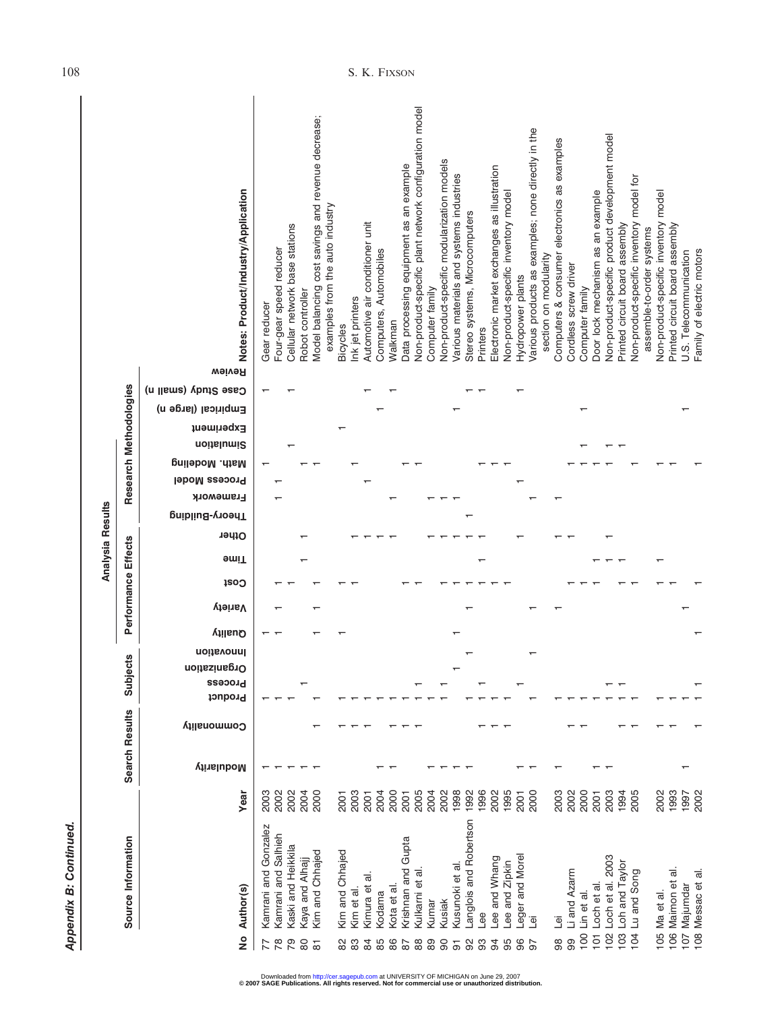|                  |                        | Notes: Product/Industry/Application | Gear reducer         | Four-gear speed reducer | Cellular network base stations | Robot controller | Model balancing cost savings and revenue decrease;<br>examples from the auto industry | <b>Bicycles</b> | Ink jet printers | Automotive air conditioner unit | Computers, Automobiles | Walkman     | Data processing equipment as an example | Non-product-specific plant network configuration model | Computer family | Non-product-specific modularization models | Various materials and systems industries | Stereo systems, Microcomputers | Printers   | Electronic market exchanges as illustration | Non-product-specific inventory model | Hydropower plants | Various products as examples; none directly in the | Computers & consumer electronics as examples<br>section on modularity |      | Cordless screw driver<br>Computer family |                | Non-product-specific product development model<br>Door lock mechanism as an example | Printed circuit board assembly | Non-product-specific inventory model for | assemble-to-order systems | Non-product-specific inventory model | Printed circuit board assembly | U.S. Telecommunication | Family of electric motors |
|------------------|------------------------|-------------------------------------|----------------------|-------------------------|--------------------------------|------------------|---------------------------------------------------------------------------------------|-----------------|------------------|---------------------------------|------------------------|-------------|-----------------------------------------|--------------------------------------------------------|-----------------|--------------------------------------------|------------------------------------------|--------------------------------|------------|---------------------------------------------|--------------------------------------|-------------------|----------------------------------------------------|-----------------------------------------------------------------------|------|------------------------------------------|----------------|-------------------------------------------------------------------------------------|--------------------------------|------------------------------------------|---------------------------|--------------------------------------|--------------------------------|------------------------|---------------------------|
|                  |                        | <b>MeiveR</b>                       |                      |                         |                                |                  |                                                                                       |                 |                  |                                 |                        |             |                                         |                                                        |                 |                                            |                                          |                                |            |                                             |                                      |                   |                                                    |                                                                       |      |                                          |                |                                                                                     |                                |                                          |                           |                                      |                                |                        |                           |
|                  |                        | Case Study (small n)                |                      |                         |                                |                  |                                                                                       |                 |                  |                                 |                        |             |                                         |                                                        |                 |                                            |                                          |                                |            |                                             |                                      |                   |                                                    |                                                                       |      |                                          |                |                                                                                     |                                |                                          |                           |                                      |                                |                        |                           |
|                  | Research Methodologies | Empirical (large n)                 |                      |                         |                                |                  |                                                                                       |                 |                  |                                 |                        |             |                                         |                                                        |                 |                                            |                                          |                                |            |                                             |                                      |                   |                                                    |                                                                       |      |                                          |                |                                                                                     |                                |                                          |                           |                                      |                                |                        |                           |
|                  |                        | Experiment                          |                      |                         |                                |                  |                                                                                       |                 |                  |                                 |                        |             |                                         |                                                        |                 |                                            |                                          |                                |            |                                             |                                      |                   |                                                    |                                                                       |      |                                          |                |                                                                                     |                                |                                          |                           |                                      |                                |                        |                           |
|                  |                        | <b>Simulation</b>                   |                      |                         |                                |                  |                                                                                       |                 |                  |                                 |                        |             |                                         |                                                        |                 |                                            |                                          |                                |            |                                             |                                      |                   |                                                    |                                                                       |      |                                          |                |                                                                                     |                                |                                          |                           |                                      |                                |                        |                           |
|                  |                        | Math. Modeling                      |                      |                         |                                |                  |                                                                                       |                 |                  |                                 |                        |             |                                         |                                                        |                 |                                            |                                          |                                |            |                                             |                                      |                   |                                                    |                                                                       |      |                                          |                |                                                                                     |                                |                                          |                           |                                      |                                |                        |                           |
|                  |                        | <b>Process Model</b>                |                      |                         |                                |                  |                                                                                       |                 |                  |                                 |                        |             |                                         |                                                        |                 |                                            |                                          |                                |            |                                             |                                      |                   |                                                    |                                                                       |      |                                          |                |                                                                                     |                                |                                          |                           |                                      |                                |                        |                           |
|                  |                        | <b>Framework</b>                    |                      |                         |                                |                  |                                                                                       |                 |                  |                                 |                        |             |                                         |                                                        |                 |                                            |                                          |                                |            |                                             |                                      |                   |                                                    |                                                                       |      |                                          |                |                                                                                     |                                |                                          |                           |                                      |                                |                        |                           |
|                  |                        | Theory-Building                     |                      |                         |                                |                  |                                                                                       |                 |                  |                                 |                        |             |                                         |                                                        |                 |                                            |                                          |                                |            |                                             |                                      |                   |                                                    |                                                                       |      |                                          |                |                                                                                     |                                |                                          |                           |                                      |                                |                        |                           |
| Analysia Results |                        | Other                               |                      |                         |                                |                  |                                                                                       |                 |                  |                                 |                        |             |                                         |                                                        |                 |                                            |                                          |                                |            |                                             |                                      |                   |                                                    |                                                                       |      |                                          |                |                                                                                     |                                |                                          |                           |                                      |                                |                        |                           |
|                  |                        | <b>Jime</b>                         |                      |                         |                                |                  |                                                                                       |                 |                  |                                 |                        |             |                                         |                                                        |                 |                                            |                                          |                                |            |                                             |                                      |                   |                                                    |                                                                       |      |                                          |                |                                                                                     |                                |                                          |                           |                                      |                                |                        |                           |
|                  |                        | <b>Lost</b>                         |                      |                         |                                |                  |                                                                                       |                 |                  |                                 |                        |             |                                         |                                                        |                 |                                            |                                          |                                |            |                                             |                                      |                   |                                                    |                                                                       |      |                                          |                |                                                                                     |                                |                                          |                           |                                      |                                |                        |                           |
|                  |                        | Variety                             |                      |                         |                                |                  |                                                                                       |                 |                  |                                 |                        |             |                                         |                                                        |                 |                                            |                                          |                                |            |                                             |                                      |                   |                                                    |                                                                       |      |                                          |                |                                                                                     |                                |                                          |                           |                                      |                                |                        |                           |
|                  | Performance Effects    |                                     |                      |                         |                                |                  |                                                                                       |                 |                  |                                 |                        |             |                                         |                                                        |                 |                                            |                                          |                                |            |                                             |                                      |                   |                                                    |                                                                       |      |                                          |                |                                                                                     |                                |                                          |                           |                                      |                                |                        |                           |
|                  |                        | Quality                             |                      |                         |                                |                  |                                                                                       |                 |                  |                                 |                        |             |                                         |                                                        |                 |                                            |                                          |                                |            |                                             |                                      |                   |                                                    |                                                                       |      |                                          |                |                                                                                     |                                |                                          |                           |                                      |                                |                        |                           |
|                  |                        | <b>Innovation</b>                   |                      |                         |                                |                  |                                                                                       |                 |                  |                                 |                        |             |                                         |                                                        |                 |                                            |                                          |                                |            |                                             |                                      |                   |                                                    |                                                                       |      |                                          |                |                                                                                     |                                |                                          |                           |                                      |                                |                        |                           |
|                  | <b>Subjects</b>        | noitssinsp10<br>Process             |                      |                         |                                |                  |                                                                                       |                 |                  |                                 |                        |             |                                         |                                                        |                 |                                            |                                          |                                |            |                                             |                                      |                   |                                                    |                                                                       |      |                                          |                |                                                                                     |                                |                                          |                           |                                      |                                |                        |                           |
|                  |                        | Product                             |                      |                         |                                |                  |                                                                                       |                 |                  |                                 |                        |             |                                         |                                                        |                 |                                            |                                          |                                |            |                                             |                                      |                   |                                                    |                                                                       |      |                                          |                |                                                                                     |                                |                                          |                           |                                      |                                |                        |                           |
|                  |                        | Commonality                         |                      |                         |                                |                  |                                                                                       |                 |                  |                                 |                        |             |                                         |                                                        |                 |                                            |                                          |                                |            |                                             |                                      |                   |                                                    |                                                                       |      |                                          |                |                                                                                     |                                |                                          |                           |                                      |                                |                        |                           |
|                  |                        |                                     |                      |                         |                                |                  |                                                                                       |                 |                  |                                 |                        |             |                                         |                                                        |                 |                                            |                                          |                                |            |                                             |                                      |                   |                                                    |                                                                       |      |                                          |                |                                                                                     |                                |                                          |                           |                                      |                                |                        |                           |
|                  | Search Results         |                                     |                      |                         |                                |                  |                                                                                       |                 |                  |                                 |                        |             |                                         |                                                        |                 |                                            |                                          |                                |            |                                             |                                      |                   |                                                    |                                                                       |      |                                          |                |                                                                                     |                                |                                          |                           |                                      |                                |                        |                           |
|                  |                        | Modularity                          |                      |                         |                                |                  |                                                                                       |                 |                  |                                 |                        |             |                                         |                                                        |                 |                                            |                                          |                                |            |                                             |                                      |                   |                                                    |                                                                       |      |                                          |                |                                                                                     |                                |                                          |                           |                                      |                                |                        |                           |
|                  |                        | Year                                | 2003                 | 2002                    | 2002                           | 2004             | 2000                                                                                  | 2001            | 2003             | 2001                            | 2004                   | 2000        | 2001                                    | 2005                                                   | 2004            | 2002                                       | 1998                                     | 1992                           | 1996       | 2002                                        | 1995                                 | 2001              | 2000                                               | 2003                                                                  | 2002 | 2000                                     |                | 2003<br>2001                                                                        | 1994                           | 2005                                     |                           | 2002                                 | 1993                           | 1997                   | 2002                      |
|                  |                        |                                     |                      |                         |                                |                  |                                                                                       |                 |                  |                                 |                        |             |                                         |                                                        |                 |                                            |                                          |                                |            |                                             |                                      |                   |                                                    |                                                                       |      |                                          |                |                                                                                     |                                |                                          |                           |                                      |                                |                        |                           |
|                  | Source Information     | Author(s)                           | Kamrani and Gonzalez | Kamrani and Salhieh     | Kaski and Heikkila             | Kaya and Alhajj  | Kim and Chhajed                                                                       | Kim and Chhajed | Kim et al.       | Kimura et al                    | Kodama                 | Kota et al. | Krishnan and Gupta                      | Kulkarni et al                                         | Kumar           | Kusiak                                     | Kusunoki et al.                          | anglois and Robertson          | $\theta$ e | ee and Whang                                | -ee and Zipkin                       | -eger and Morel   | آق                                                 | ق                                                                     |      | Li and Azarm<br>Lin et al.               |                | 2003<br>Loch et al.<br>Loch et al                                                   | Loh and Taylor                 | Lu and Song                              |                           | 105 Ma et al.                        | Maimon et al.                  | 107 Majumdar           | 108 Messac et al.         |
|                  |                        | $\frac{1}{2}$                       | 77                   | 78                      | 79                             | <b>85</b>        |                                                                                       |                 | ಜ ಜ              |                                 | $\frac{8}{4}$          | 88          | $\frac{5}{8}$                           |                                                        | 89              | $\infty$                                   | 5 2                                      |                                | 33         | क्ष                                         |                                      | <b>5555</b>       |                                                    | 88                                                                    | 8    | $\overline{00}$                          | $\overline{5}$ | 102                                                                                 | 103                            | 104                                      |                           |                                      | 106                            |                        |                           |

Appendix B: Continued.

Appendix B: Continued.

**© 2007 SAGE Publications. All rights reserved. Not for commercial use or unauthorized distribution.** Downloaded from<http://cer.sagepub.com>at UNIVERSITY OF MICHIGAN on June 29, 2007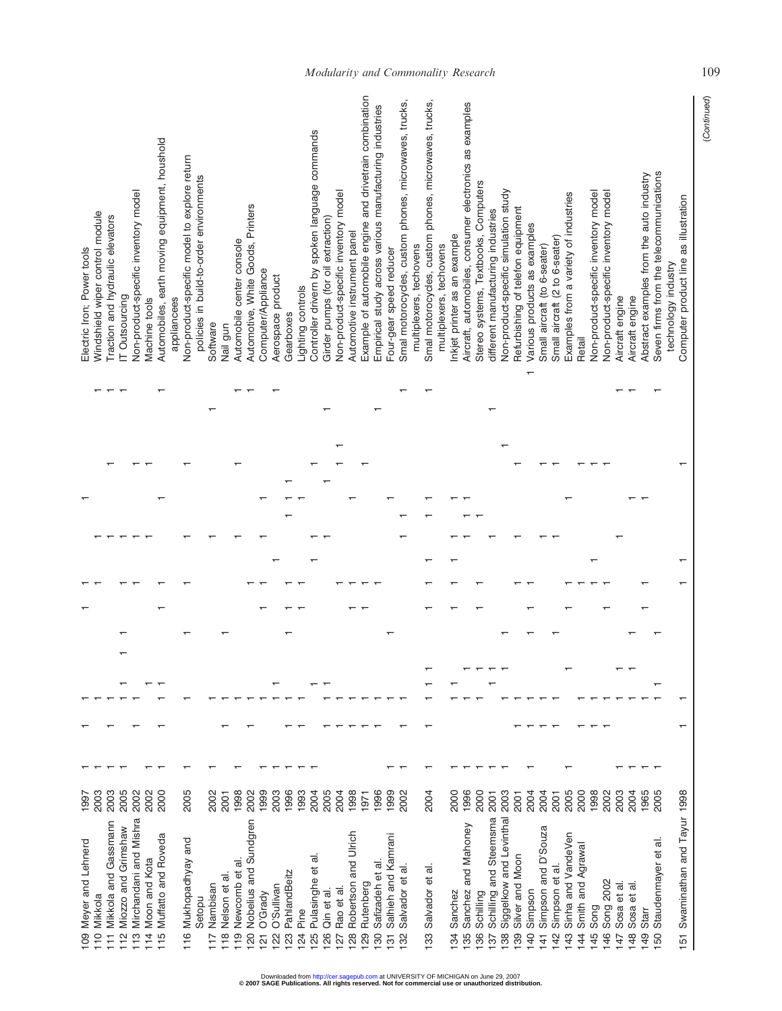| Meyer and Lehnerd<br>109               | 1997 |  |  |  |  |  |  | Electric Iron; Power tools                                   |  |
|----------------------------------------|------|--|--|--|--|--|--|--------------------------------------------------------------|--|
| Mikkola<br>110                         | 2003 |  |  |  |  |  |  | Windshield wiper control module                              |  |
| Mikkola and Gassmann<br>$\frac{1}{11}$ | 2003 |  |  |  |  |  |  | Traction and hydraulic elevators                             |  |
| Miozzo and Grimshaw<br>112             | 2005 |  |  |  |  |  |  | <b>T</b> Outsourcing                                         |  |
| Mirchandani and Mishra<br>113          | 2002 |  |  |  |  |  |  | Non-product-specific inventory model                         |  |
| Moon and Kota<br>114                   | 2002 |  |  |  |  |  |  | Machine tools                                                |  |
| Muffatto and Roveda<br>115             | 2000 |  |  |  |  |  |  | Automobiles, earth moving equipment, houshold<br>appliancees |  |
| Mukhopadhyay and<br>16                 | 2005 |  |  |  |  |  |  | Non-product-specific model to explore return                 |  |
| Setopu                                 |      |  |  |  |  |  |  | policies in build-to-order environments                      |  |
| Nambisan<br>$\overline{1}$             | 2002 |  |  |  |  |  |  | Software                                                     |  |
| Nelson et al.<br>18                    | 2001 |  |  |  |  |  |  | Nail gun                                                     |  |
| Newcomb et al<br>19                    | 1998 |  |  |  |  |  |  | Automobile center console                                    |  |
| Nobelius and Sundgren<br>120           | 2002 |  |  |  |  |  |  | Automotive, White Goods, Printers                            |  |
| O'Grady<br>121                         | 1999 |  |  |  |  |  |  | Computer/Appliance                                           |  |
| O'Sullivan<br>122                      | 2003 |  |  |  |  |  |  | Aerospace product                                            |  |
| PahlandBeitz<br>123                    | 1996 |  |  |  |  |  |  | Gearboxes                                                    |  |
| Pine<br>124                            | 1993 |  |  |  |  |  |  | -ighting controls                                            |  |
| ಸ<br>Pulasinghe et<br>125              | 2004 |  |  |  |  |  |  | Controller drivern by spoken language commands               |  |
| Qin et al.<br>126                      | 2005 |  |  |  |  |  |  | Girder pumps (for oil extraction)                            |  |
| Rao et al<br>127                       | 2004 |  |  |  |  |  |  | Non-product-specific inventory model                         |  |
| Robertson and Ulrich<br>128            | 1998 |  |  |  |  |  |  | Automotive instrument panel                                  |  |
| Rutenberg<br>129                       | 1971 |  |  |  |  |  |  | Example of automobile engine and drivetrain combination      |  |
| 130                                    | 1996 |  |  |  |  |  |  |                                                              |  |
| Safizadeh et al.                       |      |  |  |  |  |  |  | Empirical study across various manufacturing industries      |  |
| Salhieh and Kamrani<br>$\overline{5}$  | 1999 |  |  |  |  |  |  | Four-gear speed reducer                                      |  |
| Salvador et al<br>32                   | 2002 |  |  |  |  |  |  | Smal motorocycles, custom phones, microwaves, trucks,        |  |
|                                        |      |  |  |  |  |  |  | multiplexers, techovens                                      |  |
| Salvador et al<br><b>33</b>            | 2004 |  |  |  |  |  |  | Smal motorocycles, custom phones, microwaves, trucks,        |  |
|                                        |      |  |  |  |  |  |  | multiplexers, techovens                                      |  |
| Sanchez<br>134                         | 2000 |  |  |  |  |  |  | Inkjet printer as an example                                 |  |
| Sanchez and Mahoney<br>135             | 1996 |  |  |  |  |  |  | Aircraft, automobiles, consumer electronics as examples      |  |
| Schilling<br>136                       | 2000 |  |  |  |  |  |  | Stereo systems, Textbooks, Computers                         |  |
| Schilling and Steemsma<br>137          | 2001 |  |  |  |  |  |  | different manufacturing industries                           |  |
| Siggelkow and Levinthal<br>138         | 2003 |  |  |  |  |  |  | Non-product-specific simulation study                        |  |
| Silver and Moon<br>139                 | 2001 |  |  |  |  |  |  | Refurbishing of telefon equipment                            |  |
| Simpson<br>140                         | 2004 |  |  |  |  |  |  | Various products as examples                                 |  |
| Simpson and D'Souza<br>$\frac{14}{1}$  | 2004 |  |  |  |  |  |  | Small aircraft (to 6-seater)                                 |  |
| Simpson et al.<br>142                  | 2001 |  |  |  |  |  |  | Small aircraft (2 to 6-seater)                               |  |
| Sinha and VandeVen<br>143              | 2005 |  |  |  |  |  |  | Examples from a variety of industries                        |  |
| Smith and Agrawal<br>144               | 2000 |  |  |  |  |  |  | Retail                                                       |  |
| Song<br>45                             | 1998 |  |  |  |  |  |  | Non-product-specific inventory model                         |  |
| Song 2002<br>146                       | 2002 |  |  |  |  |  |  | Non-product-specific inventory model                         |  |
| Sosa et al.<br>$\overline{47}$         | 2003 |  |  |  |  |  |  | Aircraft engine                                              |  |
| Sosa et al.<br>148                     | 2004 |  |  |  |  |  |  | Aircraft engine                                              |  |
| <b>Starr</b><br>149                    | 1965 |  |  |  |  |  |  | Abstract examples from the auto industry                     |  |
| Staudenmayer et al<br>50               | 2005 |  |  |  |  |  |  | Seven firms from the telecommunications                      |  |
|                                        |      |  |  |  |  |  |  | technology industry                                          |  |
| Swaminathan and Tayur 1998<br>151      |      |  |  |  |  |  |  | Computer product line as illustration                        |  |
|                                        |      |  |  |  |  |  |  |                                                              |  |

(Continued) (Continued)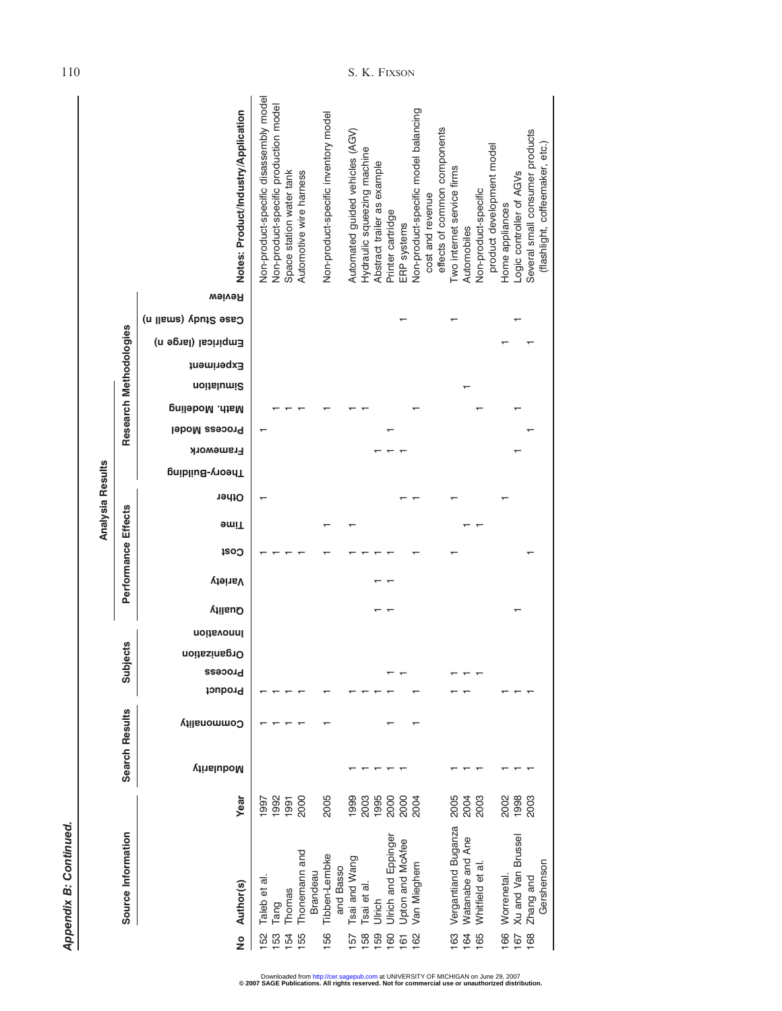|                         |                        | Notes: Product/Industry/Application   | Non-product-specific disassembly model | Non-product-specific production model | Space station water tank | Automotive wire harness   | Non-product-specific inventory model |     | Automated guided vehicles (AGV) | Hydraulic squeezing machine | Abstract trailer as example | Printer cartridge   | ERP systems      | Non-product-specific model balancing | cost and revenue | effects of common components | Two internet service firms | Automobiles      | Non-product-specific | product development model | Home appliances | Logic controller of AGVs | Several small consumer products<br>(flashlight, coffeemaker, etc. |  |
|-------------------------|------------------------|---------------------------------------|----------------------------------------|---------------------------------------|--------------------------|---------------------------|--------------------------------------|-----|---------------------------------|-----------------------------|-----------------------------|---------------------|------------------|--------------------------------------|------------------|------------------------------|----------------------------|------------------|----------------------|---------------------------|-----------------|--------------------------|-------------------------------------------------------------------|--|
|                         |                        | <b>Review</b><br>Case Study (small n) |                                        |                                       |                          |                           |                                      |     |                                 |                             |                             |                     |                  |                                      |                  |                              |                            |                  |                      |                           |                 |                          |                                                                   |  |
|                         |                        | Empirical (large n)                   |                                        |                                       |                          |                           |                                      |     |                                 |                             |                             |                     |                  |                                      |                  |                              |                            |                  |                      |                           |                 |                          |                                                                   |  |
|                         | Research Methodologies | Experiment                            |                                        |                                       |                          |                           |                                      |     |                                 |                             |                             |                     |                  |                                      |                  |                              |                            |                  |                      |                           |                 |                          |                                                                   |  |
|                         |                        | <b>Simulation</b>                     |                                        |                                       |                          |                           |                                      |     |                                 |                             |                             |                     |                  |                                      |                  |                              |                            |                  |                      |                           |                 |                          |                                                                   |  |
|                         |                        | Math. Modeling                        |                                        |                                       |                          |                           |                                      |     |                                 |                             |                             |                     |                  |                                      |                  |                              |                            |                  |                      |                           |                 |                          |                                                                   |  |
|                         |                        | <b>Process Model</b>                  |                                        |                                       |                          |                           |                                      |     |                                 |                             |                             |                     |                  |                                      |                  |                              |                            |                  |                      |                           |                 |                          |                                                                   |  |
|                         |                        | <b>Framework</b>                      |                                        |                                       |                          |                           |                                      |     |                                 |                             |                             |                     |                  |                                      |                  |                              |                            |                  |                      |                           |                 |                          |                                                                   |  |
| <b>Analysia Results</b> |                        | Theory-Building                       |                                        |                                       |                          |                           |                                      |     |                                 |                             |                             |                     |                  |                                      |                  |                              |                            |                  |                      |                           |                 |                          |                                                                   |  |
|                         |                        | Other                                 |                                        |                                       |                          |                           |                                      |     |                                 |                             |                             |                     |                  |                                      |                  |                              |                            |                  |                      |                           |                 |                          |                                                                   |  |
|                         | Performance Effects    | <b>Jime</b>                           |                                        |                                       |                          |                           |                                      |     |                                 |                             |                             |                     |                  |                                      |                  |                              |                            |                  |                      |                           |                 |                          |                                                                   |  |
|                         |                        | ႞ႄၜၥ                                  |                                        |                                       |                          |                           |                                      |     |                                 |                             |                             |                     |                  |                                      |                  |                              |                            |                  |                      |                           |                 |                          |                                                                   |  |
|                         |                        | Variety                               |                                        |                                       |                          |                           |                                      |     |                                 |                             |                             |                     |                  |                                      |                  |                              |                            |                  |                      |                           |                 |                          |                                                                   |  |
|                         |                        | Quality                               |                                        |                                       |                          |                           |                                      |     |                                 |                             |                             |                     |                  |                                      |                  |                              |                            |                  |                      |                           |                 |                          |                                                                   |  |
|                         |                        | <b>Innovation</b>                     |                                        |                                       |                          |                           |                                      |     |                                 |                             |                             |                     |                  |                                      |                  |                              |                            |                  |                      |                           |                 |                          |                                                                   |  |
|                         | jects                  | Organization                          |                                        |                                       |                          |                           |                                      |     |                                 |                             |                             |                     |                  |                                      |                  |                              |                            |                  |                      |                           |                 |                          |                                                                   |  |
|                         | Subj                   | Process                               |                                        |                                       |                          |                           |                                      |     |                                 |                             |                             |                     |                  |                                      |                  |                              |                            |                  |                      |                           |                 |                          |                                                                   |  |
|                         |                        | Product                               |                                        |                                       |                          |                           |                                      |     |                                 |                             |                             |                     |                  |                                      |                  |                              |                            |                  |                      |                           |                 |                          |                                                                   |  |
|                         |                        | Commonality                           |                                        |                                       |                          |                           |                                      |     |                                 |                             |                             |                     |                  |                                      |                  |                              |                            |                  |                      |                           |                 |                          |                                                                   |  |
|                         | Search Results         | Modularity                            |                                        |                                       |                          |                           |                                      |     |                                 |                             |                             |                     |                  |                                      |                  |                              |                            |                  |                      |                           |                 |                          |                                                                   |  |
|                         |                        |                                       |                                        |                                       |                          |                           |                                      |     |                                 |                             |                             |                     |                  |                                      |                  |                              |                            |                  |                      |                           |                 |                          |                                                                   |  |
|                         |                        | Year                                  | 1997                                   | 1992                                  | 1991                     | 2000                      | 2005                                 |     | 1999                            | 2003                        | 1995                        | 2000                | 2000             | 2004                                 |                  |                              | 2005                       | 2004             | 2003                 |                           | 2002            | 1998                     | 2003                                                              |  |
|                         | Source Information     | Author(s)                             | aleb et al.                            | rang                                  | Thomas                   | Thonemann and<br>Brandeau | Tibben-Lembke<br>and Basso           |     | sai and Wang                    | sai et al                   | Jirich                      | Jirich and Eppinger | Jpton and McAfee | Van Mieghem                          |                  |                              | Vergantiand Buganza        | Watanabe and Ane | Whitfield et al.     |                           | Worrenetal.     | Xu and Van Brussel       | Gershenson<br>Zhang and                                           |  |
|                         |                        | ş                                     | 152                                    | 153                                   | 154                      | 155                       | 156                                  | I57 |                                 | 158                         | 159                         | 160                 | 161              | 162                                  |                  |                              | 163                        | 164              | 165                  |                           | 166             | 167                      | 168                                                               |  |

Appendix B: Continued.

Appendix B: Continued.

**© 2007 SAGE Publications. All rights reserved. Not for commercial use or unauthorized distribution.** Downloaded from<http://cer.sagepub.com>at UNIVERSITY OF MICHIGAN on June 29, 2007